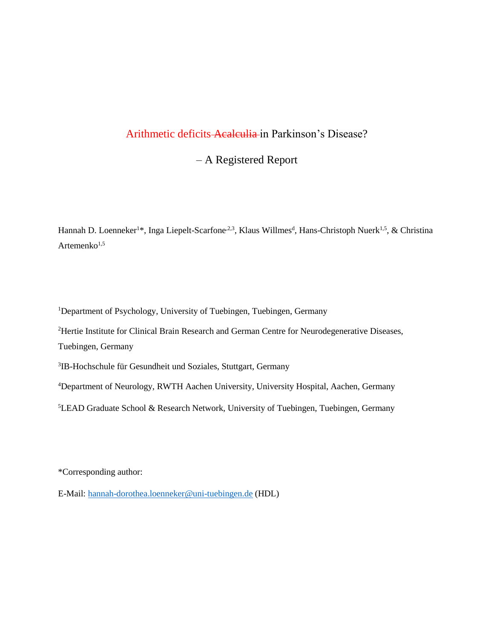# Arithmetic deficits Acalculia in Parkinson's Disease?

– A Registered Report

Hannah D. Loenneker<sup>1\*</sup>, Inga Liepelt-Scarfone<sup>2,3</sup>, Klaus Willmes<sup>d</sup>, Hans-Christoph Nuerk<sup>1,5</sup>, & Christina Artemenko<sup>1,5</sup>

<sup>1</sup>Department of Psychology, University of Tuebingen, Tuebingen, Germany

<sup>2</sup>Hertie Institute for Clinical Brain Research and German Centre for Neurodegenerative Diseases, Tuebingen, Germany

3 IB-Hochschule für Gesundheit und Soziales, Stuttgart, Germany

<sup>4</sup>Department of Neurology, RWTH Aachen University, University Hospital, Aachen, Germany

<sup>5</sup>LEAD Graduate School & Research Network, University of Tuebingen, Tuebingen, Germany

\*Corresponding author:

E-Mail: [hannah-dorothea.loenneker@uni-tuebingen.de](mailto:hannah-dorothea.loenneker@uni-tuebingen.de) (HDL)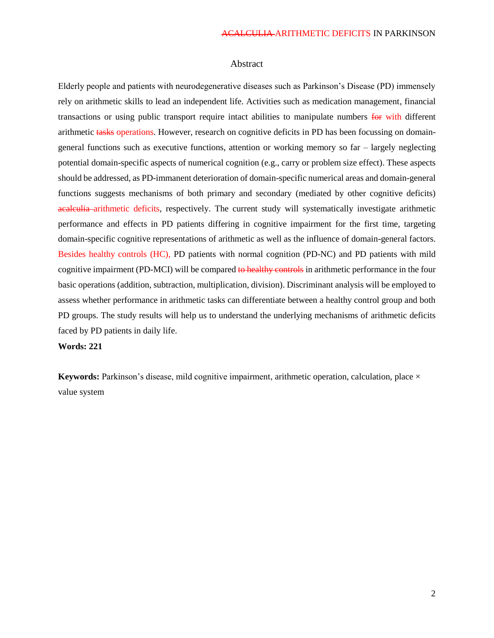# Abstract

Elderly people and patients with neurodegenerative diseases such as Parkinson's Disease (PD) immensely rely on arithmetic skills to lead an independent life. Activities such as medication management, financial transactions or using public transport require intact abilities to manipulate numbers for with different arithmetic tasks operations. However, research on cognitive deficits in PD has been focussing on domaingeneral functions such as executive functions, attention or working memory so far – largely neglecting potential domain-specific aspects of numerical cognition (e.g., carry or problem size effect). These aspects should be addressed, as PD-immanent deterioration of domain-specific numerical areas and domain-general functions suggests mechanisms of both primary and secondary (mediated by other cognitive deficits) acalculia arithmetic deficits, respectively. The current study will systematically investigate arithmetic performance and effects in PD patients differing in cognitive impairment for the first time, targeting domain-specific cognitive representations of arithmetic as well as the influence of domain-general factors. Besides healthy controls (HC), PD patients with normal cognition (PD-NC) and PD patients with mild cognitive impairment (PD-MCI) will be compared to healthy controls in arithmetic performance in the four basic operations (addition, subtraction, multiplication, division). Discriminant analysis will be employed to assess whether performance in arithmetic tasks can differentiate between a healthy control group and both PD groups. The study results will help us to understand the underlying mechanisms of arithmetic deficits faced by PD patients in daily life.

**Words: 221**

**Keywords:** Parkinson's disease, mild cognitive impairment, arithmetic operation, calculation, place  $\times$ value system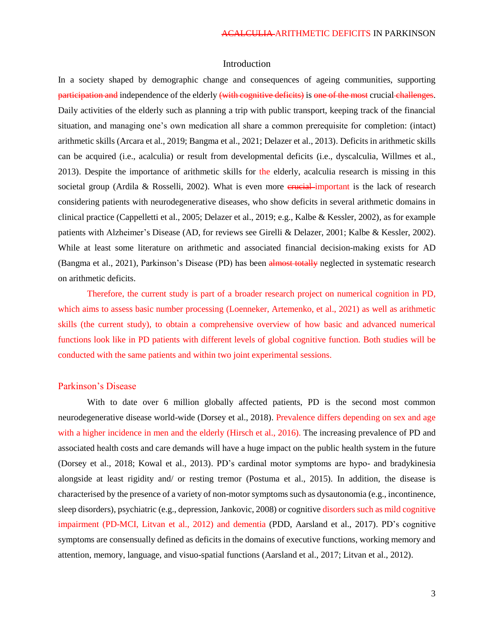# Introduction

In a society shaped by demographic change and consequences of ageing communities, supporting participation and independence of the elderly (with cognitive deficits) is one of the most crucial challenges. Daily activities of the elderly such as planning a trip with public transport, keeping track of the financial situation, and managing one's own medication all share a common prerequisite for completion: (intact) arithmetic skills (Arcara et al., 2019; Bangma et al., 2021; Delazer et al., 2013). Deficits in arithmetic skills can be acquired (i.e., acalculia) or result from developmental deficits (i.e., dyscalculia, Willmes et al., 2013). Despite the importance of arithmetic skills for the elderly, acalculia research is missing in this societal group (Ardila & Rosselli, 2002). What is even more  $\frac{1}{2}$  energiest-important is the lack of research considering patients with neurodegenerative diseases, who show deficits in several arithmetic domains in clinical practice (Cappelletti et al., 2005; Delazer et al., 2019; e.g., Kalbe & Kessler, 2002), as for example patients with Alzheimer's Disease (AD, for reviews see Girelli & Delazer, 2001; Kalbe & Kessler, 2002). While at least some literature on arithmetic and associated financial decision-making exists for AD (Bangma et al., 2021), Parkinson's Disease (PD) has been almost totally neglected in systematic research on arithmetic deficits.

Therefore, the current study is part of a broader research project on numerical cognition in PD, which aims to assess basic number processing (Loenneker, Artemenko, et al., 2021) as well as arithmetic skills (the current study), to obtain a comprehensive overview of how basic and advanced numerical functions look like in PD patients with different levels of global cognitive function. Both studies will be conducted with the same patients and within two joint experimental sessions.

## Parkinson's Disease

With to date over 6 million globally affected patients, PD is the second most common neurodegenerative disease world-wide (Dorsey et al., 2018). Prevalence differs depending on sex and age with a higher incidence in men and the elderly (Hirsch et al., 2016). The increasing prevalence of PD and associated health costs and care demands will have a huge impact on the public health system in the future (Dorsey et al., 2018; Kowal et al., 2013). PD's cardinal motor symptoms are hypo- and bradykinesia alongside at least rigidity and/ or resting tremor (Postuma et al., 2015). In addition, the disease is characterised by the presence of a variety of non-motor symptoms such as dysautonomia (e.g., incontinence, sleep disorders), psychiatric (e.g., depression, Jankovic, 2008) or cognitive disorders such as mild cognitive impairment (PD-MCI, Litvan et al., 2012) and dementia (PDD, Aarsland et al., 2017). PD's cognitive symptoms are consensually defined as deficits in the domains of executive functions, working memory and attention, memory, language, and visuo-spatial functions (Aarsland et al., 2017; Litvan et al., 2012).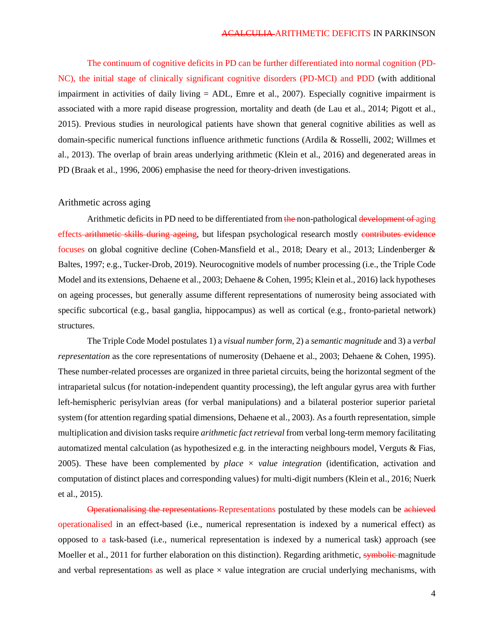The continuum of cognitive deficits in PD can be further differentiated into normal cognition (PD-NC), the initial stage of clinically significant cognitive disorders (PD-MCI) and PDD (with additional impairment in activities of daily living = ADL, Emre et al., 2007). Especially cognitive impairment is associated with a more rapid disease progression, mortality and death (de Lau et al., 2014; Pigott et al., 2015). Previous studies in neurological patients have shown that general cognitive abilities as well as domain-specific numerical functions influence arithmetic functions (Ardila & Rosselli, 2002; Willmes et al., 2013). The overlap of brain areas underlying arithmetic (Klein et al., 2016) and degenerated areas in PD (Braak et al., 1996, 2006) emphasise the need for theory-driven investigations.

# Arithmetic across aging

Arithmetic deficits in PD need to be differentiated from the non-pathological development of aging effects arithmetic skills during ageing, but lifespan psychological research mostly contributes evidence focuses on global cognitive decline (Cohen-Mansfield et al., 2018; Deary et al., 2013; Lindenberger & Baltes, 1997; e.g., Tucker-Drob, 2019). Neurocognitive models of number processing (i.e., the Triple Code Model and its extensions, Dehaene et al., 2003; Dehaene & Cohen, 1995; Klein et al., 2016) lack hypotheses on ageing processes, but generally assume different representations of numerosity being associated with specific subcortical (e.g., basal ganglia, hippocampus) as well as cortical (e.g., fronto-parietal network) structures.

The Triple Code Model postulates 1) a *visual number form,* 2) a *semantic magnitude* and 3) a *verbal representation* as the core representations of numerosity (Dehaene et al., 2003; Dehaene & Cohen, 1995). These number-related processes are organized in three parietal circuits, being the horizontal segment of the intraparietal sulcus (for notation-independent quantity processing), the left angular gyrus area with further left-hemispheric perisylvian areas (for verbal manipulations) and a bilateral posterior superior parietal system (for attention regarding spatial dimensions, Dehaene et al., 2003). As a fourth representation, simple multiplication and division tasks require *arithmetic fact retrieval* from verbal long-term memory facilitating automatized mental calculation (as hypothesized e.g. in the interacting neighbours model, Verguts & Fias, 2005). These have been complemented by *place*  $\times$  *value integration* (identification, activation and computation of distinct places and corresponding values) for multi-digit numbers (Klein et al., 2016; Nuerk et al., 2015).

Operationalising the representations Representations postulated by these models can be achieved operationalised in an effect-based (i.e., numerical representation is indexed by a numerical effect) as opposed to a task-based (i.e., numerical representation is indexed by a numerical task) approach (see Moeller et al., 2011 for further elaboration on this distinction). Regarding arithmetic, symbolic magnitude and verbal representations as well as place  $\times$  value integration are crucial underlying mechanisms, with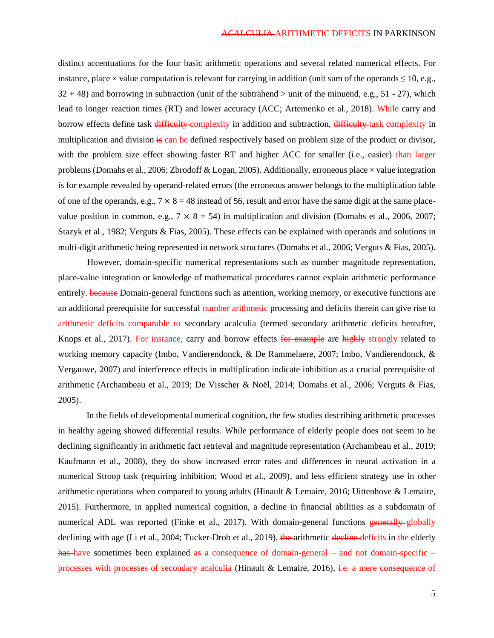distinct accentuations for the four basic arithmetic operations and several related numerical effects. For instance, place  $\times$  value computation is relevant for carrying in addition (unit sum of the operands  $\leq$  10, e.g.,  $32 + 48$ ) and borrowing in subtraction (unit of the subtrahend  $>$  unit of the minuend, e.g., 51 - 27), which lead to longer reaction times (RT) and lower accuracy (ACC; Artemenko et al., 2018). While carry and borrow effects define task difficulty complexity in addition and subtraction, difficulty task complexity in multiplication and division is can be defined respectively based on problem size of the product or divisor, with the problem size effect showing faster RT and higher ACC for smaller (i.e., easier) than larger problems (Domahs et al., 2006; Zbrodoff & Logan, 2005). Additionally, erroneous place  $\times$  value integration is for example revealed by operand-related errors (the erroneous answer belongs to the multiplication table of one of the operands, e.g.,  $7 \times 8 = 48$  instead of 56, result and error have the same digit at the same placevalue position in common, e.g.,  $7 \times 8 = 54$ ) in multiplication and division (Domahs et al., 2006, 2007; Stazyk et al., 1982; Verguts & Fias, 2005). These effects can be explained with operands and solutions in multi-digit arithmetic being represented in network structures (Domahs et al., 2006; Verguts & Fias, 2005).

However, domain-specific numerical representations such as number magnitude representation, place-value integration or knowledge of mathematical procedures cannot explain arithmetic performance entirely. because Domain-general functions such as attention, working memory, or executive functions are an additional prerequisite for successful number arithmetic processing and deficits therein can give rise to arithmetic deficits comparable to secondary acalculia (termed secondary arithmetic deficits hereafter, Knops et al., 2017). For instance, carry and borrow effects for example are highly strongly related to working memory capacity (Imbo, Vandierendonck, & De Rammelaere, 2007; Imbo, Vandierendonck, & Vergauwe, 2007) and interference effects in multiplication indicate inhibition as a crucial prerequisite of arithmetic (Archambeau et al., 2019; De Visscher & Noël, 2014; Domahs et al., 2006; Verguts & Fias, 2005).

In the fields of developmental numerical cognition, the few studies describing arithmetic processes in healthy ageing showed differential results. While performance of elderly people does not seem to be declining significantly in arithmetic fact retrieval and magnitude representation (Archambeau et al., 2019; Kaufmann et al., 2008), they do show increased error rates and differences in neural activation in a numerical Stroop task (requiring inhibition; Wood et al., 2009), and less efficient strategy use in other arithmetic operations when compared to young adults (Hinault & Lemaire, 2016; Uittenhove & Lemaire, 2015). Furthermore, in applied numerical cognition, a decline in financial abilities as a subdomain of numerical ADL was reported (Finke et al., 2017). With domain-general functions generally globally declining with age (Li et al., 2004; Tucker-Drob et al., 2019), the arithmetic decline deficits in the elderly has have sometimes been explained as a consequence of domain-general – and not domain-specific – processes with processes of secondary acalculia (Hinault & Lemaire, 2016), i.e. a mere consequence of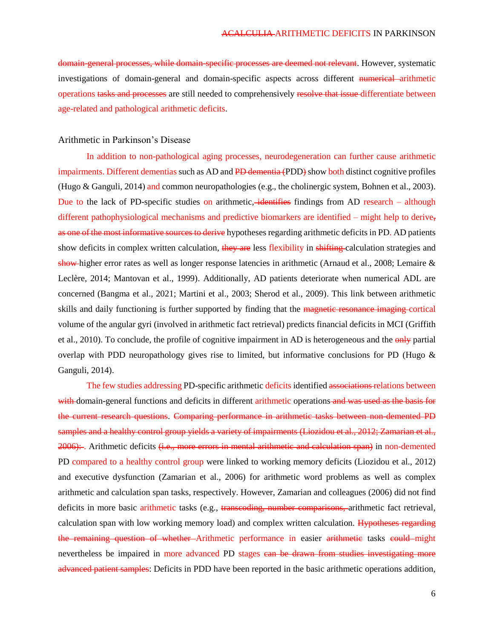domain-general processes, while domain-specific processes are deemed not relevant. However, systematic investigations of domain-general and domain-specific aspects across different numerical arithmetic operations tasks and processes are still needed to comprehensively resolve that issue differentiate between age-related and pathological arithmetic deficits.

### Arithmetic in Parkinson's Disease

In addition to non-pathological aging processes, neurodegeneration can further cause arithmetic impairments. Different dementias such as AD and PD dementia (PDD) show both distinct cognitive profiles (Hugo & Ganguli, 2014) and common neuropathologies (e.g., the cholinergic system, Bohnen et al., 2003). Due to the lack of PD-specific studies on arithmetic, identifies findings from AD research – although different pathophysiological mechanisms and predictive biomarkers are identified – might help to derive, as one of the most informative sources to derive hypotheses regarding arithmetic deficits in PD. AD patients show deficits in complex written calculation, they are less flexibility in shifting calculation strategies and show higher error rates as well as longer response latencies in arithmetic (Arnaud et al., 2008; Lemaire & Leclère, 2014; Mantovan et al., 1999). Additionally, AD patients deteriorate when numerical ADL are concerned (Bangma et al., 2021; Martini et al., 2003; Sherod et al., 2009). This link between arithmetic skills and daily functioning is further supported by finding that the magnetic resonance imaging cortical volume of the angular gyri (involved in arithmetic fact retrieval) predicts financial deficits in MCI (Griffith et al., 2010). To conclude, the profile of cognitive impairment in AD is heterogeneous and the only partial overlap with PDD neuropathology gives rise to limited, but informative conclusions for PD (Hugo & Ganguli, 2014).

The few studies addressing PD-specific arithmetic deficits identified associations relations between with domain-general functions and deficits in different arithmetic operations and was used as the basis for the current research questions. Comparing performance in arithmetic tasks between non-demented PD samples and a healthy control group yields a variety of impairments (Liozidou et al., 2012; Zamarian et al.,  $2006$ ): Arithmetic deficits  $(i.e.,$  more errors in mental arithmetic and calculation span) in non-demented PD compared to a healthy control group were linked to working memory deficits (Liozidou et al., 2012) and executive dysfunction (Zamarian et al., 2006) for arithmetic word problems as well as complex arithmetic and calculation span tasks, respectively. However, Zamarian and colleagues (2006) did not find deficits in more basic arithmetic tasks (e.g., transcoding, number comparisons, arithmetic fact retrieval, calculation span with low working memory load) and complex written calculation. Hypotheses regarding the remaining question of whether-Arithmetic performance in easier arithmetic tasks could might nevertheless be impaired in more advanced PD stages can be drawn from studies investigating more advanced patient samples: Deficits in PDD have been reported in the basic arithmetic operations addition,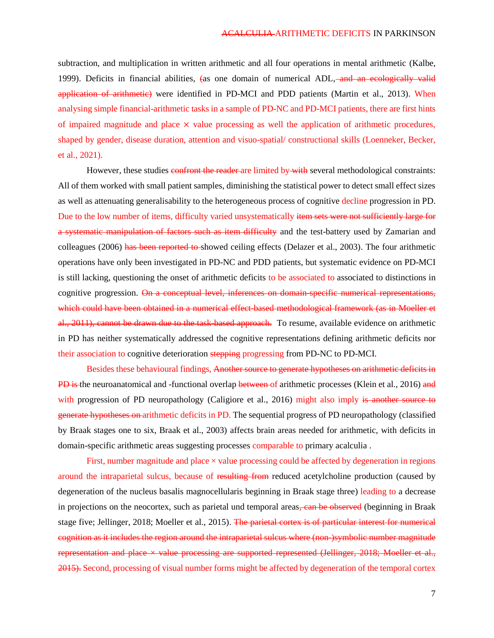subtraction, and multiplication in written arithmetic and all four operations in mental arithmetic (Kalbe, 1999). Deficits in financial abilities, (as one domain of numerical ADL, and an ecologically valid application of arithmetic) were identified in PD-MCI and PDD patients (Martin et al., 2013). When analysing simple financial-arithmetic tasks in a sample of PD-NC and PD-MCI patients, there are first hints of impaired magnitude and place  $\times$  value processing as well the application of arithmetic procedures, shaped by gender, disease duration, attention and visuo-spatial/ constructional skills (Loenneker, Becker, et al., 2021).

However, these studies confront the reader are limited by with several methodological constraints: All of them worked with small patient samples, diminishing the statistical power to detect small effect sizes as well as attenuating generalisability to the heterogeneous process of cognitive decline progression in PD. Due to the low number of items, difficulty varied unsystematically item sets were not sufficiently large for a systematic manipulation of factors such as item difficulty and the test-battery used by Zamarian and colleagues (2006) has been reported to showed ceiling effects (Delazer et al., 2003). The four arithmetic operations have only been investigated in PD-NC and PDD patients, but systematic evidence on PD-MCI is still lacking, questioning the onset of arithmetic deficits to be associated to associated to distinctions in cognitive progression. On a conceptual level, inferences on domain specific numerical representations, which could have been obtained in a numerical effect based methodological framework (as in Moeller et al., 2011), cannot be drawn due to the task-based approach. To resume, available evidence on arithmetic in PD has neither systematically addressed the cognitive representations defining arithmetic deficits nor their association to cognitive deterioration stepping progressing from PD-NC to PD-MCI.

Besides these behavioural findings, Another source to generate hypotheses on arithmetic deficits in PD is the neuroanatomical and -functional overlap between of arithmetic processes (Klein et al., 2016) and with progression of PD neuropathology (Caligiore et al., 2016) might also imply is another source to generate hypotheses on arithmetic deficits in PD. The sequential progress of PD neuropathology (classified by Braak stages one to six, Braak et al., 2003) affects brain areas needed for arithmetic, with deficits in domain-specific arithmetic areas suggesting processes comparable to primary acalculia .

First, number magnitude and place  $\times$  value processing could be affected by degeneration in regions around the intraparietal sulcus, because of resulting from reduced acetylcholine production (caused by degeneration of the nucleus basalis magnocellularis beginning in Braak stage three) leading to a decrease in projections on the neocortex, such as parietal und temporal areas, can be observed (beginning in Braak stage five; Jellinger, 2018; Moeller et al., 2015). The parietal cortex is of particular interest for numerical cognition as it includes the region around the intraparietal sulcus where (non-)symbolic number magnitude representation and place  $\times$  value processing are supported represented (Jellinger, 2018; Moeller et al., 2015). Second, processing of visual number forms might be affected by degeneration of the temporal cortex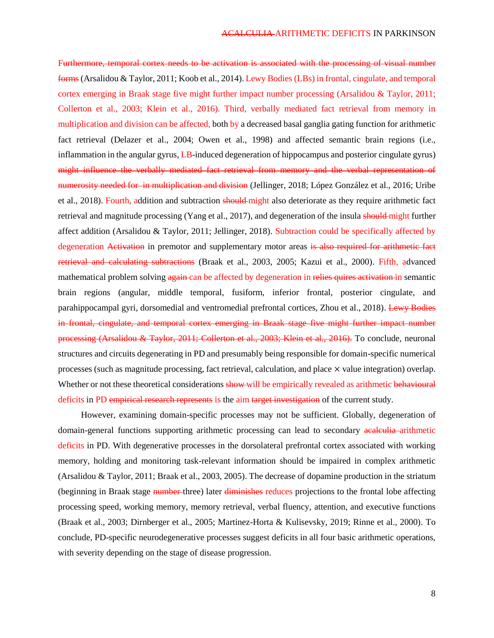Furthermore, temporal cortex needs to be activation is associated with the processing of visual number forms (Arsalidou & Taylor, 2011; Koob et al., 2014). Lewy Bodies (LBs) in frontal, cingulate, and temporal cortex emerging in Braak stage five might further impact number processing (Arsalidou & Taylor, 2011; Collerton et al., 2003; Klein et al., 2016). Third, verbally mediated fact retrieval from memory in multiplication and division can be affected, both by a decreased basal ganglia gating function for arithmetic fact retrieval (Delazer et al., 2004; Owen et al., 1998) and affected semantic brain regions (i.e., inflammation in the angular gyrus, LB-induced degeneration of hippocampus and posterior cingulate gyrus) might influence the verbally mediated fact retrieval from memory and the verbal representation of numerosity needed for in multiplication and division (Jellinger, 2018; López González et al., 2016; Uribe et al., 2018). Fourth, addition and subtraction should might also deteriorate as they require arithmetic fact retrieval and magnitude processing (Yang et al., 2017), and degeneration of the insula should might further affect addition (Arsalidou & Taylor, 2011; Jellinger, 2018). Subtraction could be specifically affected by degeneration Activation in premotor and supplementary motor areas is also required for arithmetic fact retrieval and calculating subtractions (Braak et al., 2003, 2005; Kazui et al., 2000). Fifth, advanced mathematical problem solving again can be affected by degeneration in relies quires activation in semantic brain regions (angular, middle temporal, fusiform, inferior frontal, posterior cingulate, and parahippocampal gyri, dorsomedial and ventromedial prefrontal cortices, Zhou et al., 2018). Lewy Bodies in frontal, cingulate, and temporal cortex emerging in Braak stage five might further impact number processing (Arsalidou & Taylor, 2011; Collerton et al., 2003; Klein et al., 2016). To conclude, neuronal structures and circuits degenerating in PD and presumably being responsible for domain-specific numerical processes (such as magnitude processing, fact retrieval, calculation, and place × value integration) overlap. Whether or not these theoretical considerations show will be empirically revealed as arithmetic behavioural deficits in PD empirical research represents is the aim target investigation of the current study.

However, examining domain-specific processes may not be sufficient. Globally, degeneration of domain-general functions supporting arithmetic processing can lead to secondary acalculia-arithmetic deficits in PD. With degenerative processes in the dorsolateral prefrontal cortex associated with working memory, holding and monitoring task-relevant information should be impaired in complex arithmetic (Arsalidou & Taylor, 2011; Braak et al., 2003, 2005). The decrease of dopamine production in the striatum (beginning in Braak stage number three) later diminishes reduces projections to the frontal lobe affecting processing speed, working memory, memory retrieval, verbal fluency, attention, and executive functions (Braak et al., 2003; Dirnberger et al., 2005; Martinez-Horta & Kulisevsky, 2019; Rinne et al., 2000). To conclude, PD-specific neurodegenerative processes suggest deficits in all four basic arithmetic operations, with severity depending on the stage of disease progression.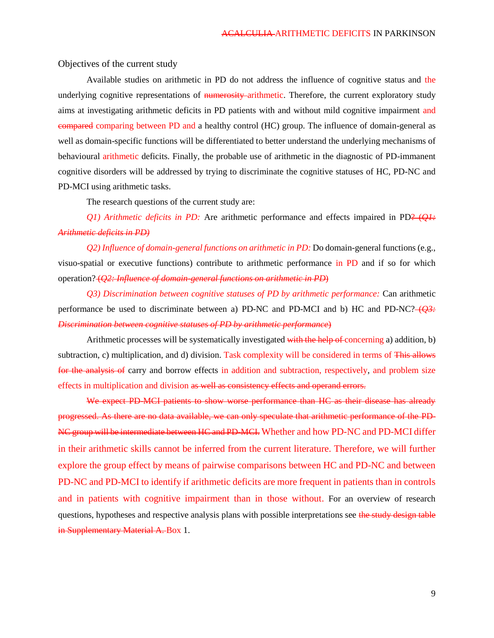Objectives of the current study

Available studies on arithmetic in PD do not address the influence of cognitive status and the underlying cognitive representations of numerosity arithmetic. Therefore, the current exploratory study aims at investigating arithmetic deficits in PD patients with and without mild cognitive impairment and compared comparing between PD and a healthy control (HC) group. The influence of domain-general as well as domain-specific functions will be differentiated to better understand the underlying mechanisms of behavioural arithmetic deficits. Finally, the probable use of arithmetic in the diagnostic of PD-immanent cognitive disorders will be addressed by trying to discriminate the cognitive statuses of HC, PD-NC and PD-MCI using arithmetic tasks.

The research questions of the current study are:

*Q1) Arithmetic deficits in PD:* Are arithmetic performance and effects impaired in PD? (*Q1: Arithmetic deficits in PD)* 

*Q2) Influence of domain-general functions on arithmetic in PD:* Do domain-general functions (e.g., visuo-spatial or executive functions) contribute to arithmetic performance in PD and if so for which operation? (*Q2: Influence of domain-general functions on arithmetic in PD*)

*Q3) Discrimination between cognitive statuses of PD by arithmetic performance:* Can arithmetic performance be used to discriminate between a) PD-NC and PD-MCI and b) HC and PD-NC? (*Q3: Discrimination between cognitive statuses of PD by arithmetic performance*)

Arithmetic processes will be systematically investigated with the help of concerning a) addition, b) subtraction, c) multiplication, and d) division. Task complexity will be considered in terms of This allows for the analysis of carry and borrow effects in addition and subtraction, respectively, and problem size effects in multiplication and division as well as consistency effects and operand errors.

We expect PD-MCI patients to show worse performance than HC as their disease has already progressed. As there are no data available, we can only speculate that arithmetic performance of the PD-NC group will be intermediate between HC and PD-MCI. Whether and how PD-NC and PD-MCI differ in their arithmetic skills cannot be inferred from the current literature. Therefore, we will further explore the group effect by means of pairwise comparisons between HC and PD-NC and between PD-NC and PD-MCI to identify if arithmetic deficits are more frequent in patients than in controls and in patients with cognitive impairment than in those without. For an overview of research questions, hypotheses and respective analysis plans with possible interpretations see the study design table in Supplementary Material A. Box 1.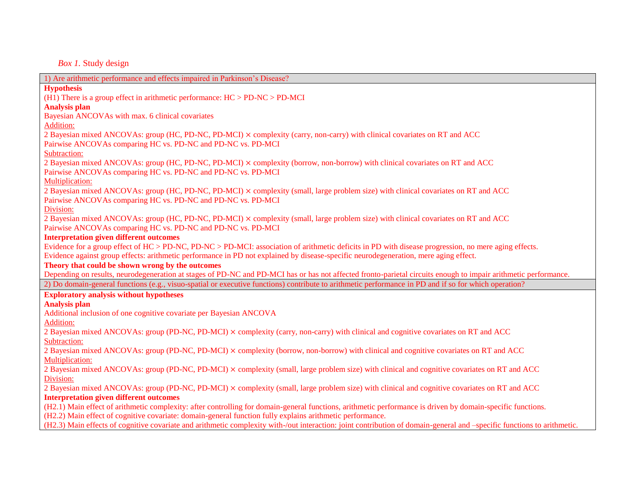*Box 1.* Study design

| 1) Are arithmetic performance and effects impaired in Parkinson's Disease?                                                                                              |
|-------------------------------------------------------------------------------------------------------------------------------------------------------------------------|
| <b>Hypothesis</b>                                                                                                                                                       |
| (H1) There is a group effect in arithmetic performance: $HC > PD-NC > PD-MCI$                                                                                           |
| <b>Analysis plan</b>                                                                                                                                                    |
| Bayesian ANCOVAs with max. 6 clinical covariates                                                                                                                        |
| <b>Addition:</b>                                                                                                                                                        |
| 2 Bayesian mixed ANCOVAs: group (HC, PD-NC, PD-MCI) × complexity (carry, non-carry) with clinical covariates on RT and ACC                                              |
| Pairwise ANCOVAs comparing HC vs. PD-NC and PD-NC vs. PD-MCI                                                                                                            |
| Subtraction:                                                                                                                                                            |
| 2 Bayesian mixed ANCOVAs: group (HC, PD-NC, PD-MCI) × complexity (borrow, non-borrow) with clinical covariates on RT and ACC                                            |
| Pairwise ANCOVAs comparing HC vs. PD-NC and PD-NC vs. PD-MCI                                                                                                            |
| Multiplication:                                                                                                                                                         |
| 2 Bayesian mixed ANCOVAs: group (HC, PD-NC, PD-MCI) × complexity (small, large problem size) with clinical covariates on RT and ACC                                     |
| Pairwise ANCOVAs comparing HC vs. PD-NC and PD-NC vs. PD-MCI                                                                                                            |
| Division:                                                                                                                                                               |
| 2 Bayesian mixed ANCOVAs: group (HC, PD-NC, PD-MCI) × complexity (small, large problem size) with clinical covariates on RT and ACC                                     |
| Pairwise ANCOVAs comparing HC vs. PD-NC and PD-NC vs. PD-MCI                                                                                                            |
| <b>Interpretation given different outcomes</b>                                                                                                                          |
| Evidence for a group effect of HC > PD-NC, PD-NC > PD-MCI: association of arithmetic deficits in PD with disease progression, no mere aging effects.                    |
| Evidence against group effects: arithmetic performance in PD not explained by disease-specific neurodegeneration, mere aging effect.                                    |
| Theory that could be shown wrong by the outcomes                                                                                                                        |
| Depending on results, neurodegeneration at stages of PD-NC and PD-MCI has or has not affected fronto-parietal circuits enough to impair arithmetic performance.         |
| 2) Do domain-general functions (e.g., visuo-spatial or executive functions) contribute to arithmetic performance in PD and if so for which operation?                   |
| <b>Exploratory analysis without hypotheses</b>                                                                                                                          |
| <b>Analysis plan</b>                                                                                                                                                    |
| Additional inclusion of one cognitive covariate per Bayesian ANCOVA                                                                                                     |
| <b>Addition:</b>                                                                                                                                                        |
| 2 Bayesian mixed ANCOVAs: group (PD-NC, PD-MCI) × complexity (carry, non-carry) with clinical and cognitive covariates on RT and ACC                                    |
| Subtraction:                                                                                                                                                            |
| 2 Bayesian mixed ANCOVAs: group (PD-NC, PD-MCI) × complexity (borrow, non-borrow) with clinical and cognitive covariates on RT and ACC                                  |
| Multiplication:                                                                                                                                                         |
| 2 Bayesian mixed ANCOVAs: group (PD-NC, PD-MCI) × complexity (small, large problem size) with clinical and cognitive covariates on RT and ACC                           |
| Division:                                                                                                                                                               |
| 2 Bayesian mixed ANCOVAs: group (PD-NC, PD-MCI) × complexity (small, large problem size) with clinical and cognitive covariates on RT and ACC                           |
| <b>Interpretation given different outcomes</b>                                                                                                                          |
| (H2.1) Main effect of arithmetic complexity: after controlling for domain-general functions, arithmetic performance is driven by domain-specific functions.             |
| (H2.2) Main effect of cognitive covariate: domain-general function fully explains arithmetic performance.                                                               |
| (H2.3) Main effects of cognitive covariate and arithmetic complexity with-/out interaction: joint contribution of domain-general and -specific functions to arithmetic. |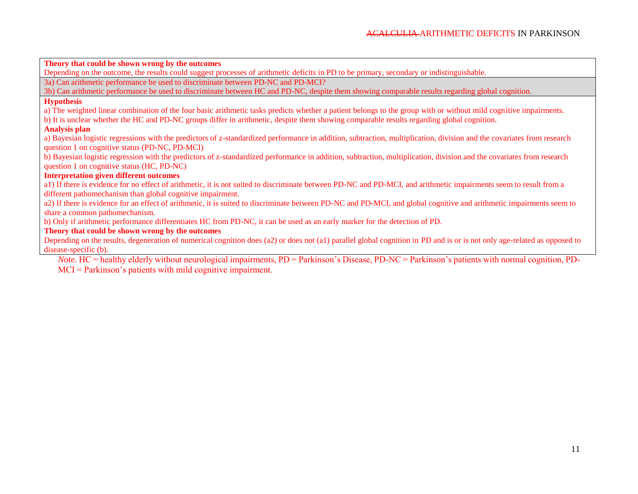**Theory that could be shown wrong by the outcomes**

Depending on the outcome, the results could suggest processes of arithmetic deficits in PD to be primary, secondary or indistinguishable.

3a) Can arithmetic performance be used to discriminate between PD-NC and PD-MCI?

3b) Can arithmetic performance be used to discriminate between HC and PD-NC, despite them showing comparable results regarding global cognition.

### **Hypothesis**

a) The weighted linear combination of the four basic arithmetic tasks predicts whether a patient belongs to the group with or without mild cognitive impairments.

b) It is unclear whether the HC and PD-NC groups differ in arithmetic, despite them showing comparable results regarding global cognition.

## **Analysis plan**

a) Bayesian logistic regressions with the predictors of z-standardized performance in addition, subtraction, multiplication, division and the covariates from research question 1 on cognitive status (PD-NC, PD-MCI)

b) Bayesian logistic regression with the predictors of z-standardized performance in addition, subtraction, multiplication, division and the covariates from research question 1 on cognitive status (HC, PD-NC)

### **Interpretation given different outcomes**

a1) If there is evidence for no effect of arithmetic, it is not suited to discriminate between PD-NC and PD-MCI, and arithmetic impairments seem to result from a different pathomechanism than global cognitive impairment.

a2) If there is evidence for an effect of arithmetic, it is suited to discriminate between PD-NC and PD-MCI, and global cognitive and arithmetic impairments seem to share a common pathomechanism.

b) Only if arithmetic performance differentiates HC from PD-NC, it can be used as an early marker for the detection of PD.

### **Theory that could be shown wrong by the outcomes**

Depending on the results, degeneration of numerical cognition does (a2) or does not (a1) parallel global cognition in PD and is or is not only age-related as opposed to disease-specific (b).

*Note*. HC = healthy elderly without neurological impairments, PD = Parkinson's Disease, PD-NC = Parkinson's patients with normal cognition, PD-MCI = Parkinson's patients with mild cognitive impairment.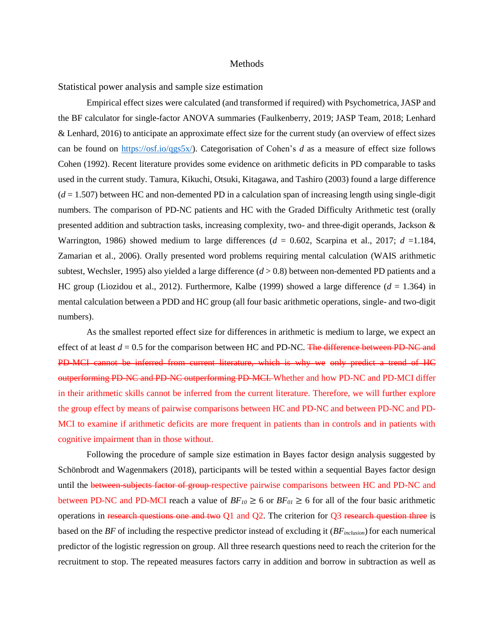#### Methods

Statistical power analysis and sample size estimation

Empirical effect sizes were calculated (and transformed if required) with Psychometrica, JASP and the BF calculator for single-factor ANOVA summaries (Faulkenberry, 2019; JASP Team, 2018; Lenhard & Lenhard, 2016) to anticipate an approximate effect size for the current study (an overview of effect sizes can be found on [https://osf.io/qgs5x/\)](https://osf.io/qgs5x/). Categorisation of Cohen's *d* as a measure of effect size follows Cohen (1992). Recent literature provides some evidence on arithmetic deficits in PD comparable to tasks used in the current study. Tamura, Kikuchi, Otsuki, Kitagawa, and Tashiro (2003) found a large difference  $(d = 1.507)$  between HC and non-demented PD in a calculation span of increasing length using single-digit numbers. The comparison of PD-NC patients and HC with the Graded Difficulty Arithmetic test (orally presented addition and subtraction tasks, increasing complexity, two- and three-digit operands, Jackson & Warrington, 1986) showed medium to large differences (*d* = 0.602, Scarpina et al., 2017; *d* =1.184, Zamarian et al., 2006). Orally presented word problems requiring mental calculation (WAIS arithmetic subtest, Wechsler, 1995) also yielded a large difference  $(d > 0.8)$  between non-demented PD patients and a HC group (Liozidou et al., 2012). Furthermore, Kalbe (1999) showed a large difference  $(d = 1.364)$  in mental calculation between a PDD and HC group (all four basic arithmetic operations, single- and two-digit numbers).

As the smallest reported effect size for differences in arithmetic is medium to large, we expect an effect of at least  $d = 0.5$  for the comparison between HC and PD-NC. The difference between PD-NC and PD-MCI cannot be inferred from current literature, which is why we only predict a trend of HC outperforming PD-NC and PD-NC outperforming PD-MCI. Whether and how PD-NC and PD-MCI differ in their arithmetic skills cannot be inferred from the current literature. Therefore, we will further explore the group effect by means of pairwise comparisons between HC and PD-NC and between PD-NC and PD-MCI to examine if arithmetic deficits are more frequent in patients than in controls and in patients with cognitive impairment than in those without.

Following the procedure of sample size estimation in Bayes factor design analysis suggested by Schönbrodt and Wagenmakers (2018), participants will be tested within a sequential Bayes factor design until the between subjects factor of group-respective pairwise comparisons between HC and PD-NC and between PD-NC and PD-MCI reach a value of  $BF_{10} \ge 6$  or  $BF_{01} \ge 6$  for all of the four basic arithmetic operations in research questions one and two Q1 and Q2. The criterion for Q3 research question three is based on the *BF* of including the respective predictor instead of excluding it (*BFinclusion*) for each numerical predictor of the logistic regression on group. All three research questions need to reach the criterion for the recruitment to stop. The repeated measures factors carry in addition and borrow in subtraction as well as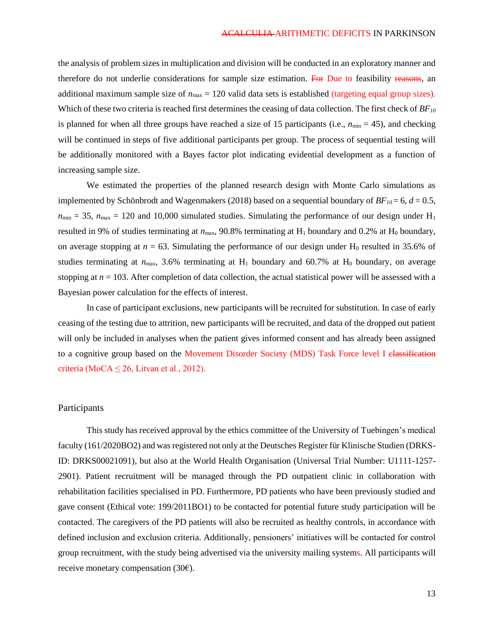the analysis of problem sizes in multiplication and division will be conducted in an exploratory manner and therefore do not underlie considerations for sample size estimation. For Due to feasibility reasons, an additional maximum sample size of  $n_{\text{max}} = 120$  valid data sets is established (targeting equal group sizes). Which of these two criteria is reached first determines the ceasing of data collection. The first check of *BF<sup>10</sup>* is planned for when all three groups have reached a size of 15 participants (i.e.,  $n_{min} = 45$ ), and checking will be continued in steps of five additional participants per group. The process of sequential testing will be additionally monitored with a Bayes factor plot indicating evidential development as a function of increasing sample size.

We estimated the properties of the planned research design with Monte Carlo simulations as implemented by Schönbrodt and Wagenmakers (2018) based on a sequential boundary of  $BF_{10} = 6$ ,  $d = 0.5$ ,  $n_{min} = 35$ ,  $n_{max} = 120$  and 10,000 simulated studies. Simulating the performance of our design under H<sub>1</sub> resulted in 9% of studies terminating at  $n_{\text{max}}$ , 90.8% terminating at  $H_1$  boundary and 0.2% at  $H_0$  boundary, on average stopping at  $n = 63$ . Simulating the performance of our design under H<sub>0</sub> resulted in 35.6% of studies terminating at  $n_{\text{max}}$ , 3.6% terminating at  $H_1$  boundary and 60.7% at  $H_0$  boundary, on average stopping at  $n = 103$ . After completion of data collection, the actual statistical power will be assessed with a Bayesian power calculation for the effects of interest.

In case of participant exclusions, new participants will be recruited for substitution. In case of early ceasing of the testing due to attrition, new participants will be recruited, and data of the dropped out patient will only be included in analyses when the patient gives informed consent and has already been assigned to a cognitive group based on the Movement Disorder Society (MDS) Task Force level I elassification criteria (MoCA  $\leq$  26, Litvan et al., 2012).

### Participants

This study has received approval by the ethics committee of the University of Tuebingen's medical faculty (161/2020BO2) and was registered not only at the Deutsches Register für Klinische Studien (DRKS-ID: DRKS00021091), but also at the World Health Organisation (Universal Trial Number: U1111-1257- 2901). Patient recruitment will be managed through the PD outpatient clinic in collaboration with rehabilitation facilities specialised in PD. Furthermore, PD patients who have been previously studied and gave consent (Ethical vote: 199/2011BO1) to be contacted for potential future study participation will be contacted. The caregivers of the PD patients will also be recruited as healthy controls, in accordance with defined inclusion and exclusion criteria. Additionally, pensioners' initiatives will be contacted for control group recruitment, with the study being advertised via the university mailing systems. All participants will receive monetary compensation  $(30 $\epsilon$ ).$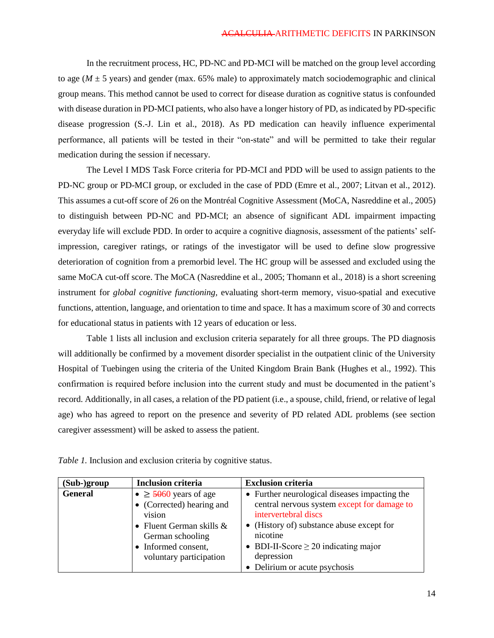In the recruitment process, HC, PD-NC and PD-MCI will be matched on the group level according to age (*M* ± 5 years) and gender (max. 65% male) to approximately match sociodemographic and clinical group means. This method cannot be used to correct for disease duration as cognitive status is confounded with disease duration in PD-MCI patients, who also have a longer history of PD, as indicated by PD-specific disease progression (S.-J. Lin et al., 2018). As PD medication can heavily influence experimental performance, all patients will be tested in their "on-state" and will be permitted to take their regular medication during the session if necessary.

The Level I MDS Task Force criteria for PD-MCI and PDD will be used to assign patients to the PD-NC group or PD-MCI group, or excluded in the case of PDD (Emre et al., 2007; Litvan et al., 2012). This assumes a cut-off score of 26 on the Montréal Cognitive Assessment (MoCA, Nasreddine et al., 2005) to distinguish between PD-NC and PD-MCI; an absence of significant ADL impairment impacting everyday life will exclude PDD. In order to acquire a cognitive diagnosis, assessment of the patients' selfimpression, caregiver ratings, or ratings of the investigator will be used to define slow progressive deterioration of cognition from a premorbid level. The HC group will be assessed and excluded using the same MoCA cut-off score. The MoCA (Nasreddine et al., 2005; Thomann et al., 2018) is a short screening instrument for *global cognitive functioning,* evaluating short-term memory, visuo-spatial and executive functions, attention, language, and orientation to time and space. It has a maximum score of 30 and corrects for educational status in patients with 12 years of education or less.

Table 1 lists all inclusion and exclusion criteria separately for all three groups. The PD diagnosis will additionally be confirmed by a movement disorder specialist in the outpatient clinic of the University Hospital of Tuebingen using the criteria of the United Kingdom Brain Bank (Hughes et al., 1992). This confirmation is required before inclusion into the current study and must be documented in the patient's record. Additionally, in all cases, a relation of the PD patient (i.e., a spouse, child, friend, or relative of legal age) who has agreed to report on the presence and severity of PD related ADL problems (see section caregiver assessment) will be asked to assess the patient.

| $(Sub-)group$  | <b>Inclusion criteria</b>                                                                                                                                                    | <b>Exclusion criteria</b>                                                                                                                                                                                                                                               |
|----------------|------------------------------------------------------------------------------------------------------------------------------------------------------------------------------|-------------------------------------------------------------------------------------------------------------------------------------------------------------------------------------------------------------------------------------------------------------------------|
| <b>General</b> | $\bullet \geq 5060$ years of age<br>• (Corrected) hearing and<br>vision<br>• Fluent German skills $\&$<br>German schooling<br>• Informed consent,<br>voluntary participation | • Further neurological diseases impacting the<br>central nervous system except for damage to<br>intervertebral discs<br>(History of) substance abuse except for<br>nicotine<br>• BDI-II-Score $\geq$ 20 indicating major<br>depression<br>• Delirium or acute psychosis |

*Table 1.* Inclusion and exclusion criteria by cognitive status.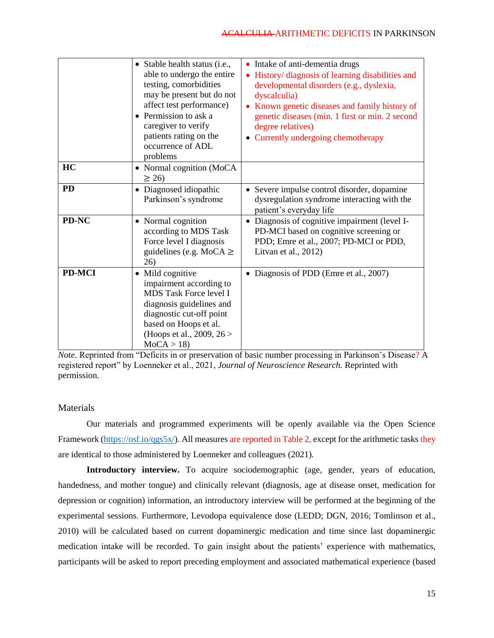|               | • Stable health status (i.e.,<br>able to undergo the entire<br>testing, comorbidities<br>may be present but do not<br>affect test performance)<br>• Permission to ask a<br>caregiver to verify<br>patients rating on the<br>occurrence of ADL<br>problems | • Intake of anti-dementia drugs<br>History/ diagnosis of learning disabilities and<br>developmental disorders (e.g., dyslexia,<br>dyscalculia)<br>Known genetic diseases and family history of<br>genetic diseases (min. 1 first or min. 2 second<br>degree relatives)<br>Currently undergoing chemotherapy |
|---------------|-----------------------------------------------------------------------------------------------------------------------------------------------------------------------------------------------------------------------------------------------------------|-------------------------------------------------------------------------------------------------------------------------------------------------------------------------------------------------------------------------------------------------------------------------------------------------------------|
| HC            | • Normal cognition (MoCA<br>$\geq$ 26)                                                                                                                                                                                                                    |                                                                                                                                                                                                                                                                                                             |
| <b>PD</b>     | Diagnosed idiopathic<br>$\bullet$<br>Parkinson's syndrome                                                                                                                                                                                                 | • Severe impulse control disorder, dopamine<br>dysregulation syndrome interacting with the<br>patient's everyday life                                                                                                                                                                                       |
| PD-NC         | • Normal cognition<br>according to MDS Task<br>Force level I diagnosis<br>guidelines (e.g. MoCA $\geq$<br>26)                                                                                                                                             | • Diagnosis of cognitive impairment (level I-<br>PD-MCI based on cognitive screening or<br>PDD; Emre et al., 2007; PD-MCI or PDD,<br>Litvan et al., 2012)                                                                                                                                                   |
| <b>PD-MCI</b> | Mild cognitive<br>impairment according to<br>MDS Task Force level I<br>diagnosis guidelines and<br>diagnostic cut-off point<br>based on Hoops et al.<br>(Hoops et al., 2009, $26 >$<br>MoCA > 18                                                          | • Diagnosis of PDD (Emre et al., 2007)                                                                                                                                                                                                                                                                      |

*Note.* Reprinted from "Deficits in or preservation of basic number processing in Parkinson's Disease? A registered report" by Loenneker et al., 2021, *Journal of Neuroscience Research.* Reprinted with permission.

# **Materials**

Our materials and programmed experiments will be openly available via the Open Science Framework [\(https://osf.io/qgs5x/\)](https://osf.io/qgs5x/). All measures are reported in Table 2, except for the arithmetic tasks they are identical to those administered by Loenneker and colleagues (2021).

**Introductory interview.** To acquire sociodemographic (age, gender, years of education, handedness, and mother tongue) and clinically relevant (diagnosis, age at disease onset, medication for depression or cognition) information, an introductory interview will be performed at the beginning of the experimental sessions. Furthermore, Levodopa equivalence dose (LEDD; DGN, 2016; Tomlinson et al., 2010) will be calculated based on current dopaminergic medication and time since last dopaminergic medication intake will be recorded. To gain insight about the patients' experience with mathematics, participants will be asked to report preceding employment and associated mathematical experience (based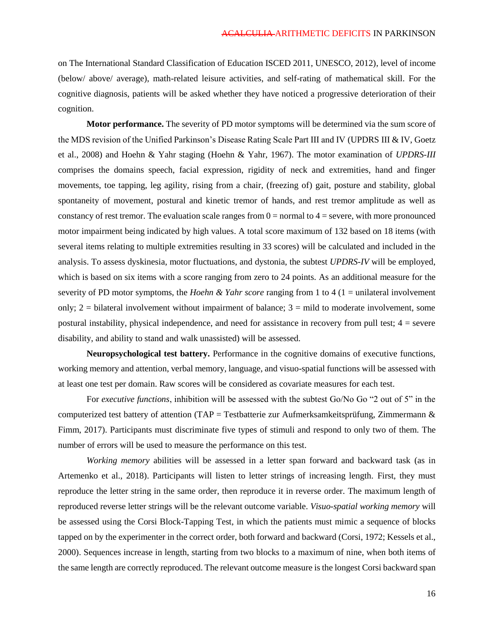on The International Standard Classification of Education ISCED 2011, UNESCO, 2012), level of income (below/ above/ average), math-related leisure activities, and self-rating of mathematical skill. For the cognitive diagnosis, patients will be asked whether they have noticed a progressive deterioration of their cognition.

**Motor performance.** The severity of PD motor symptoms will be determined via the sum score of the MDS revision of the Unified Parkinson's Disease Rating Scale Part III and IV (UPDRS III & IV, Goetz et al., 2008) and Hoehn & Yahr staging (Hoehn & Yahr, 1967). The motor examination of *UPDRS-III* comprises the domains speech, facial expression, rigidity of neck and extremities, hand and finger movements, toe tapping, leg agility, rising from a chair, (freezing of) gait, posture and stability, global spontaneity of movement, postural and kinetic tremor of hands, and rest tremor amplitude as well as constancy of rest tremor. The evaluation scale ranges from  $0 =$  normal to  $4 =$  severe, with more pronounced motor impairment being indicated by high values. A total score maximum of 132 based on 18 items (with several items relating to multiple extremities resulting in 33 scores) will be calculated and included in the analysis. To assess dyskinesia, motor fluctuations, and dystonia, the subtest *UPDRS-IV* will be employed, which is based on six items with a score ranging from zero to 24 points. As an additional measure for the severity of PD motor symptoms, the *Hoehn & Yahr score* ranging from 1 to 4 (1 = unilateral involvement only;  $2 = 5$  bilateral involvement without impairment of balance;  $3 = 1$  mild to moderate involvement, some postural instability, physical independence, and need for assistance in recovery from pull test; 4 = severe disability, and ability to stand and walk unassisted) will be assessed.

**Neuropsychological test battery.** Performance in the cognitive domains of executive functions, working memory and attention, verbal memory, language, and visuo-spatial functions will be assessed with at least one test per domain. Raw scores will be considered as covariate measures for each test.

For *executive functions*, inhibition will be assessed with the subtest Go/No Go "2 out of 5" in the computerized test battery of attention (TAP = Testbatterie zur Aufmerksamkeitsprüfung, Zimmermann & Fimm, 2017). Participants must discriminate five types of stimuli and respond to only two of them. The number of errors will be used to measure the performance on this test.

*Working memory* abilities will be assessed in a letter span forward and backward task (as in Artemenko et al., 2018). Participants will listen to letter strings of increasing length. First, they must reproduce the letter string in the same order, then reproduce it in reverse order. The maximum length of reproduced reverse letter strings will be the relevant outcome variable. *Visuo-spatial working memory* will be assessed using the Corsi Block-Tapping Test, in which the patients must mimic a sequence of blocks tapped on by the experimenter in the correct order, both forward and backward (Corsi, 1972; Kessels et al., 2000). Sequences increase in length, starting from two blocks to a maximum of nine, when both items of the same length are correctly reproduced. The relevant outcome measure is the longest Corsi backward span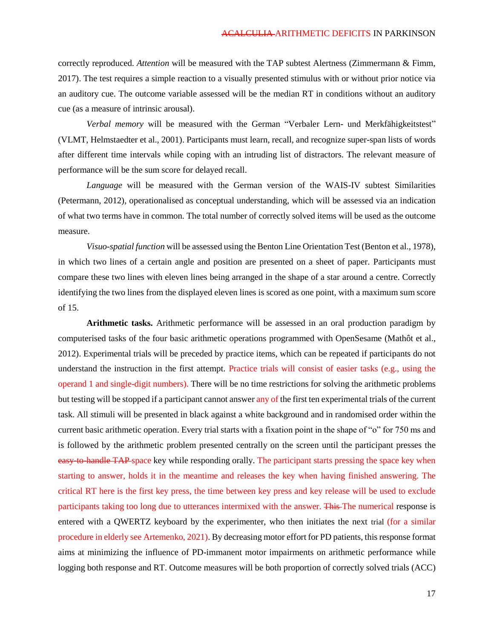correctly reproduced. *Attention* will be measured with the TAP subtest Alertness (Zimmermann & Fimm, 2017). The test requires a simple reaction to a visually presented stimulus with or without prior notice via an auditory cue. The outcome variable assessed will be the median RT in conditions without an auditory cue (as a measure of intrinsic arousal).

*Verbal memory* will be measured with the German "Verbaler Lern- und Merkfähigkeitstest" (VLMT, Helmstaedter et al., 2001). Participants must learn, recall, and recognize super-span lists of words after different time intervals while coping with an intruding list of distractors. The relevant measure of performance will be the sum score for delayed recall.

*Language* will be measured with the German version of the WAIS-IV subtest Similarities (Petermann, 2012), operationalised as conceptual understanding, which will be assessed via an indication of what two terms have in common. The total number of correctly solved items will be used as the outcome measure.

*Visuo-spatial function* will be assessed using the Benton Line Orientation Test (Benton et al., 1978), in which two lines of a certain angle and position are presented on a sheet of paper. Participants must compare these two lines with eleven lines being arranged in the shape of a star around a centre. Correctly identifying the two lines from the displayed eleven lines is scored as one point, with a maximum sum score of 15.

**Arithmetic tasks.** Arithmetic performance will be assessed in an oral production paradigm by computerised tasks of the four basic arithmetic operations programmed with OpenSesame (Mathôt et al., 2012). Experimental trials will be preceded by practice items, which can be repeated if participants do not understand the instruction in the first attempt. Practice trials will consist of easier tasks (e.g., using the operand 1 and single-digit numbers). There will be no time restrictions for solving the arithmetic problems but testing will be stopped if a participant cannot answer any of the first ten experimental trials of the current task. All stimuli will be presented in black against a white background and in randomised order within the current basic arithmetic operation. Every trial starts with a fixation point in the shape of "o" for 750 ms and is followed by the arithmetic problem presented centrally on the screen until the participant presses the easy to handle TAP space key while responding orally. The participant starts pressing the space key when starting to answer, holds it in the meantime and releases the key when having finished answering. The critical RT here is the first key press, the time between key press and key release will be used to exclude participants taking too long due to utterances intermixed with the answer. This The numerical response is entered with a QWERTZ keyboard by the experimenter, who then initiates the next trial (for a similar procedure in elderly see Artemenko, 2021). By decreasing motor effort for PD patients, this response format aims at minimizing the influence of PD-immanent motor impairments on arithmetic performance while logging both response and RT. Outcome measures will be both proportion of correctly solved trials (ACC)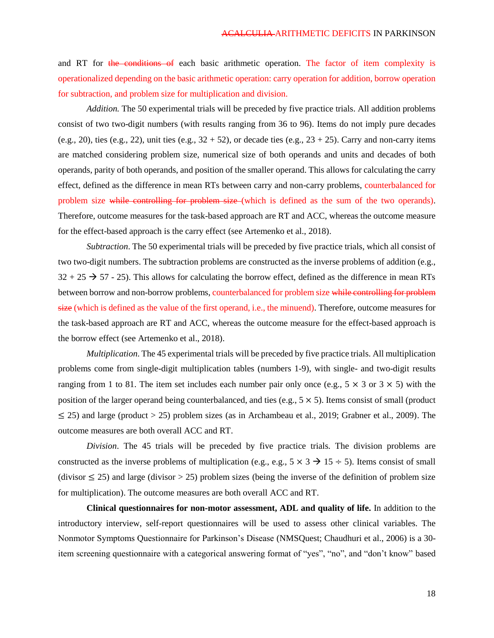and RT for the conditions of each basic arithmetic operation. The factor of item complexity is operationalized depending on the basic arithmetic operation: carry operation for addition, borrow operation for subtraction, and problem size for multiplication and division.

*Addition.* The 50 experimental trials will be preceded by five practice trials. All addition problems consist of two two-digit numbers (with results ranging from 36 to 96). Items do not imply pure decades (e.g., 20), ties (e.g., 22), unit ties (e.g.,  $32 + 52$ ), or decade ties (e.g.,  $23 + 25$ ). Carry and non-carry items are matched considering problem size, numerical size of both operands and units and decades of both operands, parity of both operands, and position of the smaller operand. This allows for calculating the carry effect, defined as the difference in mean RTs between carry and non-carry problems, counterbalanced for problem size while controlling for problem size (which is defined as the sum of the two operands). Therefore, outcome measures for the task-based approach are RT and ACC, whereas the outcome measure for the effect-based approach is the carry effect (see Artemenko et al., 2018).

*Subtraction*. The 50 experimental trials will be preceded by five practice trials, which all consist of two two-digit numbers. The subtraction problems are constructed as the inverse problems of addition (e.g.,  $32 + 25 \rightarrow 57 - 25$ . This allows for calculating the borrow effect, defined as the difference in mean RTs between borrow and non-borrow problems, counterbalanced for problem size while controlling for problem size (which is defined as the value of the first operand, i.e., the minuend). Therefore, outcome measures for the task-based approach are RT and ACC, whereas the outcome measure for the effect-based approach is the borrow effect (see Artemenko et al., 2018).

*Multiplication*. The 45 experimental trials will be preceded by five practice trials. All multiplication problems come from single-digit multiplication tables (numbers 1-9), with single- and two-digit results ranging from 1 to 81. The item set includes each number pair only once (e.g.,  $5 \times 3$  or  $3 \times 5$ ) with the position of the larger operand being counterbalanced, and ties (e.g.,  $5 \times 5$ ). Items consist of small (product  $\leq$  25) and large (product > 25) problem sizes (as in Archambeau et al., 2019; Grabner et al., 2009). The outcome measures are both overall ACC and RT.

*Division*. The 45 trials will be preceded by five practice trials. The division problems are constructed as the inverse problems of multiplication (e.g., e.g.,  $5 \times 3 \rightarrow 15 \div 5$ ). Items consist of small (divisor  $\leq$  25) and large (divisor > 25) problem sizes (being the inverse of the definition of problem size for multiplication). The outcome measures are both overall ACC and RT.

**Clinical questionnaires for non-motor assessment, ADL and quality of life.** In addition to the introductory interview, self-report questionnaires will be used to assess other clinical variables. The Nonmotor Symptoms Questionnaire for Parkinson's Disease (NMSQuest; Chaudhuri et al., 2006) is a 30 item screening questionnaire with a categorical answering format of "yes", "no", and "don't know" based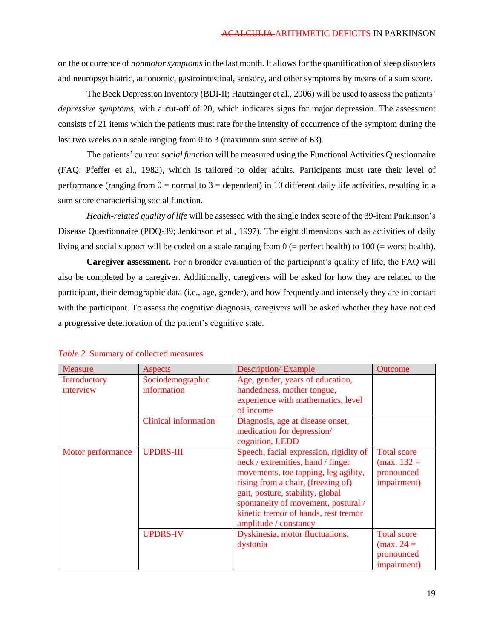on the occurrence of *nonmotor symptoms*in the last month. It allows for the quantification of sleep disorders and neuropsychiatric, autonomic, gastrointestinal, sensory, and other symptoms by means of a sum score.

The Beck Depression Inventory (BDI-II; Hautzinger et al., 2006) will be used to assess the patients' *depressive symptoms*, with a cut-off of 20, which indicates signs for major depression. The assessment consists of 21 items which the patients must rate for the intensity of occurrence of the symptom during the last two weeks on a scale ranging from 0 to 3 (maximum sum score of 63).

The patients' current *social function* will be measured using the Functional Activities Questionnaire (FAQ; Pfeffer et al., 1982), which is tailored to older adults. Participants must rate their level of performance (ranging from  $0 =$  normal to  $3 =$  dependent) in 10 different daily life activities, resulting in a sum score characterising social function.

*Health-related quality of life* will be assessed with the single index score of the 39-item Parkinson's Disease Questionnaire (PDQ-39; Jenkinson et al., 1997). The eight dimensions such as activities of daily living and social support will be coded on a scale ranging from 0 (= perfect health) to 100 (= worst health).

**Caregiver assessment.** For a broader evaluation of the participant's quality of life, the FAQ will also be completed by a caregiver. Additionally, caregivers will be asked for how they are related to the participant, their demographic data (i.e., age, gender), and how frequently and intensely they are in contact with the participant. To assess the cognitive diagnosis, caregivers will be asked whether they have noticed a progressive deterioration of the patient's cognitive state.

| <b>Measure</b>            | Aspects                         | <b>Description/Example</b>                                                                                                                                                                                                                                                                            | <b>Outcome</b>                                                          |
|---------------------------|---------------------------------|-------------------------------------------------------------------------------------------------------------------------------------------------------------------------------------------------------------------------------------------------------------------------------------------------------|-------------------------------------------------------------------------|
| Introductory<br>interview | Sociodemographic<br>information | Age, gender, years of education,<br>handedness, mother tongue,<br>experience with mathematics, level<br>of income                                                                                                                                                                                     |                                                                         |
|                           | <b>Clinical information</b>     | Diagnosis, age at disease onset,<br>medication for depression/<br>cognition, LEDD                                                                                                                                                                                                                     |                                                                         |
| Motor performance         | <b>UPDRS-III</b>                | Speech, facial expression, rigidity of<br>neck / extremities, hand / finger<br>movements, toe tapping, leg agility,<br>rising from a chair, (freezing of)<br>gait, posture, stability, global<br>spontaneity of movement, postural /<br>kinetic tremor of hands, rest tremor<br>amplitude / constancy | <b>Total score</b><br>$(max. 132 =$<br>pronounced<br>impairment)        |
|                           | <b>UPDRS-IV</b>                 | Dyskinesia, motor fluctuations,<br>dystonia                                                                                                                                                                                                                                                           | <b>Total score</b><br>$(\text{max. } 24 =$<br>pronounced<br>impairment) |

### *Table 2.* Summary of collected measures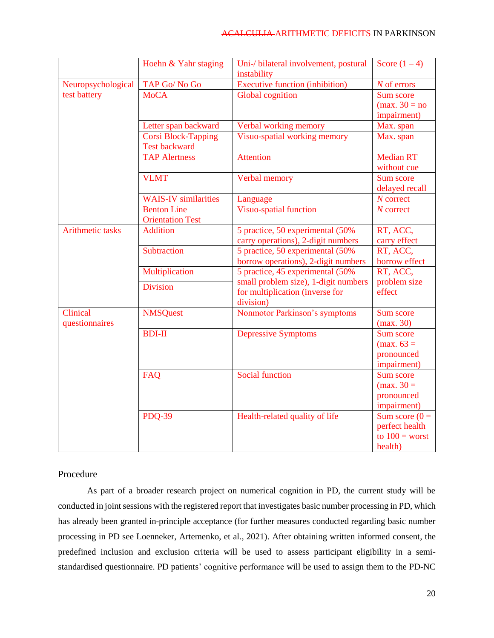|                         | Hoehn & Yahr staging        | Uni-/ bilateral involvement, postural<br>instability | Score $(1-4)$                   |
|-------------------------|-----------------------------|------------------------------------------------------|---------------------------------|
| Neuropsychological      | TAP Go/No Go                | <b>Executive function (inhibition)</b>               | $N$ of errors                   |
| test battery            | <b>MoCA</b>                 | <b>Global</b> cognition                              | Sum score                       |
|                         |                             |                                                      | $(\text{max. } 30 = \text{no})$ |
|                         |                             |                                                      | impairment)                     |
|                         | Letter span backward        | Verbal working memory                                | Max. span                       |
|                         | <b>Corsi Block-Tapping</b>  | Visuo-spatial working memory                         | Max. span                       |
|                         | Test backward               |                                                      |                                 |
|                         | <b>TAP Alertness</b>        | <b>Attention</b>                                     | <b>Median RT</b>                |
|                         |                             |                                                      | without cue                     |
|                         | <b>VLMT</b>                 | Verbal memory                                        | Sum score                       |
|                         |                             |                                                      | delayed recall                  |
|                         | <b>WAIS-IV</b> similarities | Language                                             | $N$ correct                     |
|                         | <b>Benton Line</b>          | <b>Visuo-spatial function</b>                        | $N$ correct                     |
|                         | <b>Orientation Test</b>     |                                                      |                                 |
| <b>Arithmetic tasks</b> | <b>Addition</b>             | 5 practice, 50 experimental (50%                     | RT, ACC,                        |
|                         |                             | carry operations), 2-digit numbers                   | carry effect                    |
|                         | Subtraction                 | 5 practice, 50 experimental (50%)                    | RT, ACC,                        |
|                         |                             | borrow operations), 2-digit numbers                  | borrow effect                   |
|                         | Multiplication              | 5 practice, 45 experimental (50%)                    | RT, ACC,                        |
|                         | <b>Division</b>             | small problem size), 1-digit numbers                 | problem size                    |
|                         |                             | for multiplication (inverse for                      | effect                          |
| Clinical                |                             | division)                                            |                                 |
| questionnaires          | <b>NMSQuest</b>             | <b>Nonmotor Parkinson's symptoms</b>                 | Sum score<br>(max. 30)          |
|                         | <b>BDI-II</b>               | <b>Depressive Symptoms</b>                           | Sum score                       |
|                         |                             |                                                      | $(max. 63 =$                    |
|                         |                             |                                                      | pronounced                      |
|                         |                             |                                                      | impairment)                     |
|                         | FAQ                         | <b>Social function</b>                               | Sum score                       |
|                         |                             |                                                      | $(max. 30=$                     |
|                         |                             |                                                      | pronounced                      |
|                         |                             |                                                      | impairment)                     |
|                         | <b>PDQ-39</b>               | Health-related quality of life                       | Sum score $(0 =$                |
|                         |                             |                                                      | perfect health                  |
|                         |                             |                                                      | to $100 =$ worst                |
|                         |                             |                                                      | health)                         |

# Procedure

As part of a broader research project on numerical cognition in PD, the current study will be conducted in joint sessions with the registered report that investigates basic number processing in PD, which has already been granted in-principle acceptance (for further measures conducted regarding basic number processing in PD see Loenneker, Artemenko, et al., 2021). After obtaining written informed consent, the predefined inclusion and exclusion criteria will be used to assess participant eligibility in a semistandardised questionnaire. PD patients' cognitive performance will be used to assign them to the PD-NC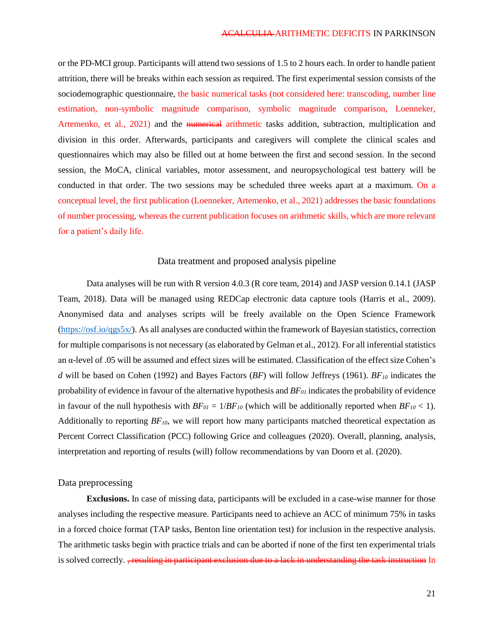or the PD-MCI group. Participants will attend two sessions of 1.5 to 2 hours each. In order to handle patient attrition, there will be breaks within each session as required. The first experimental session consists of the sociodemographic questionnaire, the basic numerical tasks (not considered here: transcoding, number line estimation, non-symbolic magnitude comparison, symbolic magnitude comparison, Loenneker, Artemenko, et al., 2021) and the numerical arithmetic tasks addition, subtraction, multiplication and division in this order. Afterwards, participants and caregivers will complete the clinical scales and questionnaires which may also be filled out at home between the first and second session. In the second session, the MoCA, clinical variables, motor assessment, and neuropsychological test battery will be conducted in that order. The two sessions may be scheduled three weeks apart at a maximum. On a conceptual level, the first publication (Loenneker, Artemenko, et al., 2021) addresses the basic foundations of number processing, whereas the current publication focuses on arithmetic skills, which are more relevant for a patient's daily life.

# Data treatment and proposed analysis pipeline

Data analyses will be run with R version 4.0.3 (R core team, 2014) and JASP version 0.14.1 (JASP Team, 2018). Data will be managed using REDCap electronic data capture tools (Harris et al., 2009). Anonymised data and analyses scripts will be freely available on the Open Science Framework [\(https://osf.io/qgs5x/\)](https://osf.io/qgs5x/). As all analyses are conducted within the framework of Bayesian statistics, correction for multiple comparisons is not necessary (as elaborated by Gelman et al., 2012). For all inferential statistics an α-level of .05 will be assumed and effect sizes will be estimated. Classification of the effect size Cohen's *d* will be based on Cohen (1992) and Bayes Factors (*BF*) will follow Jeffreys (1961). *BF<sup>10</sup>* indicates the probability of evidence in favour of the alternative hypothesis and *BF<sup>01</sup>* indicates the probability of evidence in favour of the null hypothesis with  $BF_{01} = 1/BF_{10}$  (which will be additionally reported when  $BF_{10} < 1$ ). Additionally to reporting *BF10*, we will report how many participants matched theoretical expectation as Percent Correct Classification (PCC) following Grice and colleagues (2020). Overall, planning, analysis, interpretation and reporting of results (will) follow recommendations by van Doorn et al. (2020).

# Data preprocessing

**Exclusions.** In case of missing data, participants will be excluded in a case-wise manner for those analyses including the respective measure. Participants need to achieve an ACC of minimum 75% in tasks in a forced choice format (TAP tasks, Benton line orientation test) for inclusion in the respective analysis. The arithmetic tasks begin with practice trials and can be aborted if none of the first ten experimental trials is solved correctly. <del>, resulting in participant exclusion due to a lack in understanding the task instruction</del> In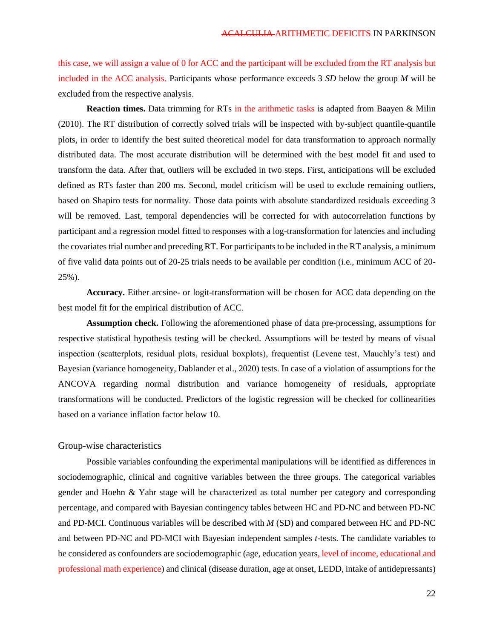this case, we will assign a value of 0 for ACC and the participant will be excluded from the RT analysis but included in the ACC analysis. Participants whose performance exceeds 3 *SD* below the group *M* will be excluded from the respective analysis.

**Reaction times.** Data trimming for RTs in the arithmetic tasks is adapted from Baayen & Milin (2010). The RT distribution of correctly solved trials will be inspected with by-subject quantile-quantile plots, in order to identify the best suited theoretical model for data transformation to approach normally distributed data. The most accurate distribution will be determined with the best model fit and used to transform the data. After that, outliers will be excluded in two steps. First, anticipations will be excluded defined as RTs faster than 200 ms. Second, model criticism will be used to exclude remaining outliers, based on Shapiro tests for normality. Those data points with absolute standardized residuals exceeding 3 will be removed. Last, temporal dependencies will be corrected for with autocorrelation functions by participant and a regression model fitted to responses with a log-transformation for latencies and including the covariates trial number and preceding RT. For participants to be included in the RT analysis, a minimum of five valid data points out of 20-25 trials needs to be available per condition (i.e., minimum ACC of 20- 25%).

**Accuracy.** Either arcsine- or logit-transformation will be chosen for ACC data depending on the best model fit for the empirical distribution of ACC.

**Assumption check.** Following the aforementioned phase of data pre-processing, assumptions for respective statistical hypothesis testing will be checked. Assumptions will be tested by means of visual inspection (scatterplots, residual plots, residual boxplots), frequentist (Levene test, Mauchly's test) and Bayesian (variance homogeneity, Dablander et al., 2020) tests. In case of a violation of assumptions for the ANCOVA regarding normal distribution and variance homogeneity of residuals, appropriate transformations will be conducted. Predictors of the logistic regression will be checked for collinearities based on a variance inflation factor below 10.

#### Group-wise characteristics

Possible variables confounding the experimental manipulations will be identified as differences in sociodemographic, clinical and cognitive variables between the three groups. The categorical variables gender and Hoehn & Yahr stage will be characterized as total number per category and corresponding percentage, and compared with Bayesian contingency tables between HC and PD-NC and between PD-NC and PD-MCI. Continuous variables will be described with *M* (SD) and compared between HC and PD-NC and between PD-NC and PD-MCI with Bayesian independent samples *t*-tests. The candidate variables to be considered as confounders are sociodemographic (age, education years, level of income, educational and professional math experience) and clinical (disease duration, age at onset, LEDD, intake of antidepressants)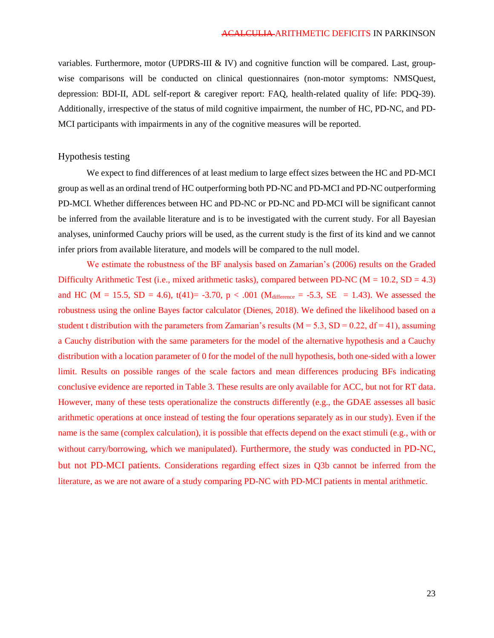variables. Furthermore, motor (UPDRS-III  $&$  IV) and cognitive function will be compared. Last, groupwise comparisons will be conducted on clinical questionnaires (non-motor symptoms: NMSQuest, depression: BDI-II, ADL self-report & caregiver report: FAQ, health-related quality of life: PDQ-39). Additionally, irrespective of the status of mild cognitive impairment, the number of HC, PD-NC, and PD-MCI participants with impairments in any of the cognitive measures will be reported.

### Hypothesis testing

We expect to find differences of at least medium to large effect sizes between the HC and PD-MCI group as well as an ordinal trend of HC outperforming both PD-NC and PD-MCI and PD-NC outperforming PD-MCI. Whether differences between HC and PD-NC or PD-NC and PD-MCI will be significant cannot be inferred from the available literature and is to be investigated with the current study. For all Bayesian analyses, uninformed Cauchy priors will be used, as the current study is the first of its kind and we cannot infer priors from available literature, and models will be compared to the null model.

We estimate the robustness of the BF analysis based on Zamarian's (2006) results on the Graded Difficulty Arithmetic Test (i.e., mixed arithmetic tasks), compared between PD-NC ( $M = 10.2$ ,  $SD = 4.3$ ) and HC ( $M = 15.5$ ,  $SD = 4.6$ ),  $t(41) = -3.70$ ,  $p < .001$  ( $M<sub>difference</sub> = -5.3$ ,  $SE = 1.43$ ). We assessed the robustness using the online Bayes factor calculator (Dienes, 2018). We defined the likelihood based on a student t distribution with the parameters from Zamarian's results ( $M = 5.3$ ,  $SD = 0.22$ ,  $df = 41$ ), assuming a Cauchy distribution with the same parameters for the model of the alternative hypothesis and a Cauchy distribution with a location parameter of 0 for the model of the null hypothesis, both one-sided with a lower limit. Results on possible ranges of the scale factors and mean differences producing BFs indicating conclusive evidence are reported in Table 3. These results are only available for ACC, but not for RT data. However, many of these tests operationalize the constructs differently (e.g., the GDAE assesses all basic arithmetic operations at once instead of testing the four operations separately as in our study). Even if the name is the same (complex calculation), it is possible that effects depend on the exact stimuli (e.g., with or without carry/borrowing, which we manipulated). Furthermore, the study was conducted in PD-NC, but not PD-MCI patients. Considerations regarding effect sizes in Q3b cannot be inferred from the literature, as we are not aware of a study comparing PD-NC with PD-MCI patients in mental arithmetic.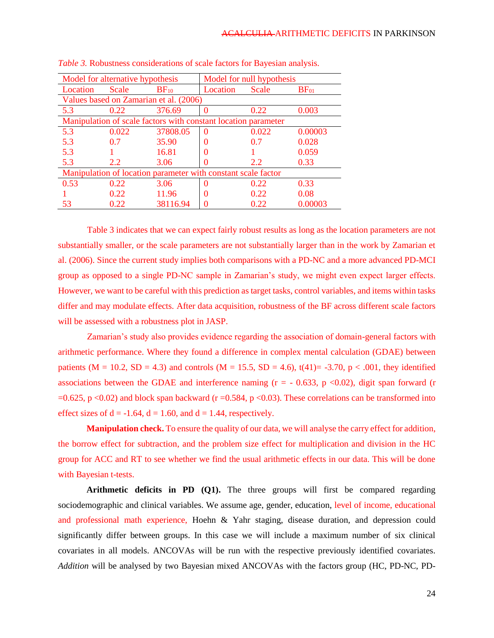| Model for alternative hypothesis                               |               |           | Model for null hypothesis |       |                  |
|----------------------------------------------------------------|---------------|-----------|---------------------------|-------|------------------|
| Location                                                       | Scale         | $BF_{10}$ | Location                  | Scale | BF <sub>01</sub> |
| Values based on Zamarian et al. (2006)                         |               |           |                           |       |                  |
| 5.3                                                            | 0.22          | 376.69    | 0                         | 0.22  | 0.003            |
| Manipulation of scale factors with constant location parameter |               |           |                           |       |                  |
| 5.3                                                            | 0.022         | 37808.05  | $\Omega$                  | 0.022 | 0.00003          |
| 5.3                                                            | 0.7           | 35.90     | 0                         | 0.7   | 0.028            |
| 5.3                                                            |               | 16.81     | $\Omega$                  |       | 0.059            |
| 5.3                                                            | $2.2^{\circ}$ | 3.06      |                           | 2.2   | 0.33             |
| Manipulation of location parameter with constant scale factor  |               |           |                           |       |                  |
| 0.53                                                           | 0.22          | 3.06      | $\Omega$                  | 0.22  | 0.33             |
|                                                                | 0.22          | 11.96     | 0                         | 0.22  | 0.08             |
| 53                                                             | 0.22          | 38116.94  |                           | 0.22  | 0.00003          |

*Table 3.* Robustness considerations of scale factors for Bayesian analysis.

Table 3 indicates that we can expect fairly robust results as long as the location parameters are not substantially smaller, or the scale parameters are not substantially larger than in the work by Zamarian et al. (2006). Since the current study implies both comparisons with a PD-NC and a more advanced PD-MCI group as opposed to a single PD-NC sample in Zamarian's study, we might even expect larger effects. However, we want to be careful with this prediction as target tasks, control variables, and items within tasks differ and may modulate effects. After data acquisition, robustness of the BF across different scale factors will be assessed with a robustness plot in JASP.

Zamarian's study also provides evidence regarding the association of domain-general factors with arithmetic performance. Where they found a difference in complex mental calculation (GDAE) between patients (M = 10.2, SD = 4.3) and controls (M = 15.5, SD = 4.6), t(41)= -3.70, p < .001, they identified associations between the GDAE and interference naming  $(r = -0.633, p \lt 0.02)$ , digit span forward (r  $=0.625$ , p  $< 0.02$ ) and block span backward (r  $= 0.584$ , p  $< 0.03$ ). These correlations can be transformed into effect sizes of  $d = -1.64$ ,  $d = 1.60$ , and  $d = 1.44$ , respectively.

**Manipulation check.** To ensure the quality of our data, we will analyse the carry effect for addition, the borrow effect for subtraction, and the problem size effect for multiplication and division in the HC group for ACC and RT to see whether we find the usual arithmetic effects in our data. This will be done with Bayesian t-tests.

**Arithmetic deficits in PD (Q1).** The three groups will first be compared regarding sociodemographic and clinical variables. We assume age, gender, education, level of income, educational and professional math experience, Hoehn & Yahr staging, disease duration, and depression could significantly differ between groups. In this case we will include a maximum number of six clinical covariates in all models. ANCOVAs will be run with the respective previously identified covariates. *Addition* will be analysed by two Bayesian mixed ANCOVAs with the factors group (HC, PD-NC, PD-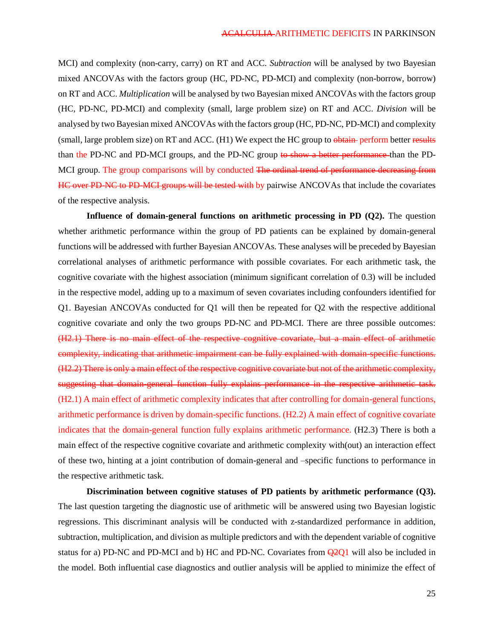MCI) and complexity (non-carry, carry) on RT and ACC. *Subtraction* will be analysed by two Bayesian mixed ANCOVAs with the factors group (HC, PD-NC, PD-MCI) and complexity (non-borrow, borrow) on RT and ACC. *Multiplication* will be analysed by two Bayesian mixed ANCOVAs with the factors group (HC, PD-NC, PD-MCI) and complexity (small, large problem size) on RT and ACC. *Division* will be analysed by two Bayesian mixed ANCOVAs with the factors group (HC, PD-NC, PD-MCI) and complexity (small, large problem size) on RT and ACC. (H1) We expect the HC group to obtain perform better results than the PD-NC and PD-MCI groups, and the PD-NC group to show a better performance than the PD-MCI group. The group comparisons will by conducted <del>The ordinal trend of performance decreasing from</del> HC over PD-NC to PD-MCI groups will be tested with by pairwise ANCOVAs that include the covariates of the respective analysis.

**Influence of domain-general functions on arithmetic processing in PD (Q2).** The question whether arithmetic performance within the group of PD patients can be explained by domain-general functions will be addressed with further Bayesian ANCOVAs. These analyses will be preceded by Bayesian correlational analyses of arithmetic performance with possible covariates. For each arithmetic task, the cognitive covariate with the highest association (minimum significant correlation of 0.3) will be included in the respective model, adding up to a maximum of seven covariates including confounders identified for Q1. Bayesian ANCOVAs conducted for Q1 will then be repeated for Q2 with the respective additional cognitive covariate and only the two groups PD-NC and PD-MCI. There are three possible outcomes: (H2.1) There is no main effect of the respective cognitive covariate, but a main effect of arithmetic complexity, indicating that arithmetic impairment can be fully explained with domain-specific functions. (H2.2) There is only a main effect of the respective cognitive covariate but not of the arithmetic complexity, suggesting that domain-general function fully explains performance in the respective arithmetic task. (H2.1) A main effect of arithmetic complexity indicates that after controlling for domain-general functions, arithmetic performance is driven by domain-specific functions. (H2.2) A main effect of cognitive covariate indicates that the domain-general function fully explains arithmetic performance. (H2.3) There is both a main effect of the respective cognitive covariate and arithmetic complexity with(out) an interaction effect of these two, hinting at a joint contribution of domain-general and –specific functions to performance in the respective arithmetic task.

**Discrimination between cognitive statuses of PD patients by arithmetic performance (Q3).** The last question targeting the diagnostic use of arithmetic will be answered using two Bayesian logistic regressions. This discriminant analysis will be conducted with z-standardized performance in addition, subtraction, multiplication, and division as multiple predictors and with the dependent variable of cognitive status for a) PD-NC and PD-MCI and b) HC and PD-NC. Covariates from  $\left( \frac{\partial^2 Q}{\partial x^2} \right)$  will also be included in the model. Both influential case diagnostics and outlier analysis will be applied to minimize the effect of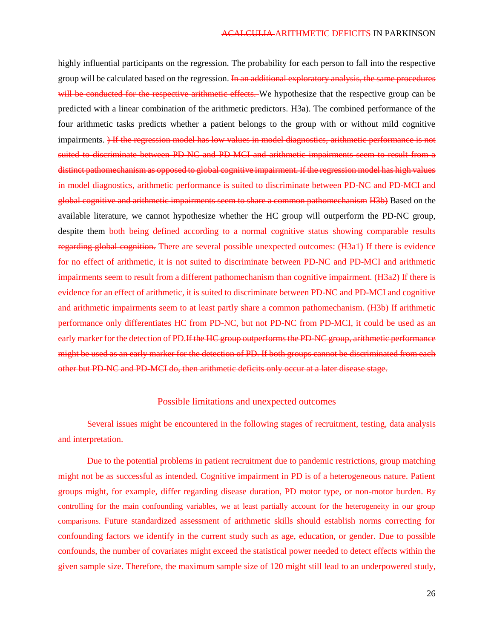highly influential participants on the regression. The probability for each person to fall into the respective group will be calculated based on the regression. In an additional exploratory analysis, the same procedures will be conducted for the respective arithmetic effects. We hypothesize that the respective group can be predicted with a linear combination of the arithmetic predictors. H3a). The combined performance of the four arithmetic tasks predicts whether a patient belongs to the group with or without mild cognitive impairments. ) If the regression model has low values in model diagnostics, arithmetic performance is not suited to discriminate between PD-NC and PD-MCI and arithmetic impairments seem to result from a distinct pathomechanism as opposed to global cognitive impairment. If the regression model has high values in model diagnostics, arithmetic performance is suited to discriminate between PD-NC and PD-MCI and global cognitive and arithmetic impairments seem to share a common pathomechanism H3b) Based on the available literature, we cannot hypothesize whether the HC group will outperform the PD-NC group, despite them both being defined according to a normal cognitive status showing comparable results regarding global cognition. There are several possible unexpected outcomes: (H3a1) If there is evidence for no effect of arithmetic, it is not suited to discriminate between PD-NC and PD-MCI and arithmetic impairments seem to result from a different pathomechanism than cognitive impairment. (H3a2) If there is evidence for an effect of arithmetic, it is suited to discriminate between PD-NC and PD-MCI and cognitive and arithmetic impairments seem to at least partly share a common pathomechanism. (H3b) If arithmetic performance only differentiates HC from PD-NC, but not PD-NC from PD-MCI, it could be used as an early marker for the detection of PD.If the HC group outperforms the PD-NC group, arithmetic performance might be used as an early marker for the detection of PD. If both groups cannot be discriminated from each other but PD-NC and PD-MCI do, then arithmetic deficits only occur at a later disease stage.

### Possible limitations and unexpected outcomes

Several issues might be encountered in the following stages of recruitment, testing, data analysis and interpretation.

Due to the potential problems in patient recruitment due to pandemic restrictions, group matching might not be as successful as intended. Cognitive impairment in PD is of a heterogeneous nature. Patient groups might, for example, differ regarding disease duration, PD motor type, or non-motor burden. By controlling for the main confounding variables, we at least partially account for the heterogeneity in our group comparisons. Future standardized assessment of arithmetic skills should establish norms correcting for confounding factors we identify in the current study such as age, education, or gender. Due to possible confounds, the number of covariates might exceed the statistical power needed to detect effects within the given sample size. Therefore, the maximum sample size of 120 might still lead to an underpowered study,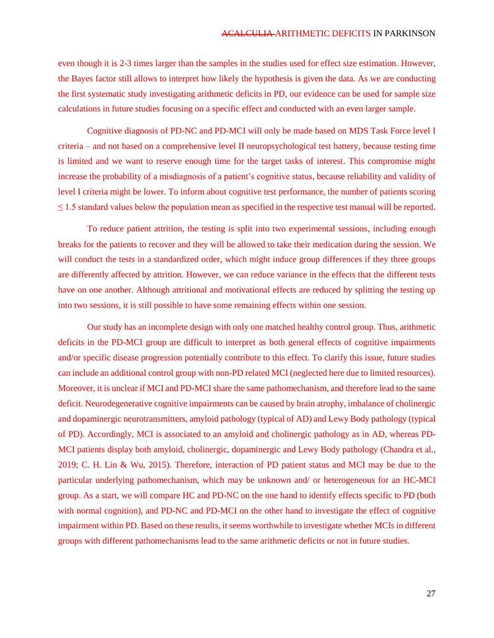even though it is 2-3 times larger than the samples in the studies used for effect size estimation. However, the Bayes factor still allows to interpret how likely the hypothesis is given the data. As we are conducting the first systematic study investigating arithmetic deficits in PD, our evidence can be used for sample size calculations in future studies focusing on a specific effect and conducted with an even larger sample.

Cognitive diagnosis of PD-NC and PD-MCI will only be made based on MDS Task Force level I criteria – and not based on a comprehensive level II neuropsychological test battery, because testing time is limited and we want to reserve enough time for the target tasks of interest. This compromise might increase the probability of a misdiagnosis of a patient's cognitive status, because reliability and validity of level I criteria might be lower. To inform about cognitive test performance, the number of patients scoring  $\leq$  1.5 standard values below the population mean as specified in the respective test manual will be reported.

To reduce patient attrition, the testing is split into two experimental sessions, including enough breaks for the patients to recover and they will be allowed to take their medication during the session. We will conduct the tests in a standardized order, which might induce group differences if they three groups are differently affected by attrition. However, we can reduce variance in the effects that the different tests have on one another. Although attritional and motivational effects are reduced by splitting the testing up into two sessions, it is still possible to have some remaining effects within one session.

Our study has an incomplete design with only one matched healthy control group. Thus, arithmetic deficits in the PD-MCI group are difficult to interpret as both general effects of cognitive impairments and/or specific disease progression potentially contribute to this effect. To clarify this issue, future studies can include an additional control group with non-PD related MCI (neglected here due to limited resources). Moreover, it is unclear if MCI and PD-MCI share the same pathomechanism, and therefore lead to the same deficit. Neurodegenerative cognitive impairments can be caused by brain atrophy, imbalance of cholinergic and dopaminergic neurotransmitters, amyloid pathology (typical of AD) and Lewy Body pathology (typical of PD). Accordingly, MCI is associated to an amyloid and cholinergic pathology as in AD, whereas PD-MCI patients display both amyloid, cholinergic, dopaminergic and Lewy Body pathology (Chandra et al., 2019; C. H. Lin & Wu, 2015). Therefore, interaction of PD patient status and MCI may be due to the particular underlying pathomechanism, which may be unknown and/ or heterogeneous for an HC-MCI group. As a start, we will compare HC and PD-NC on the one hand to identify effects specific to PD (both with normal cognition), and PD-NC and PD-MCI on the other hand to investigate the effect of cognitive impairment within PD. Based on these results, it seems worthwhile to investigate whether MCIs in different groups with different pathomechanisms lead to the same arithmetic deficits or not in future studies.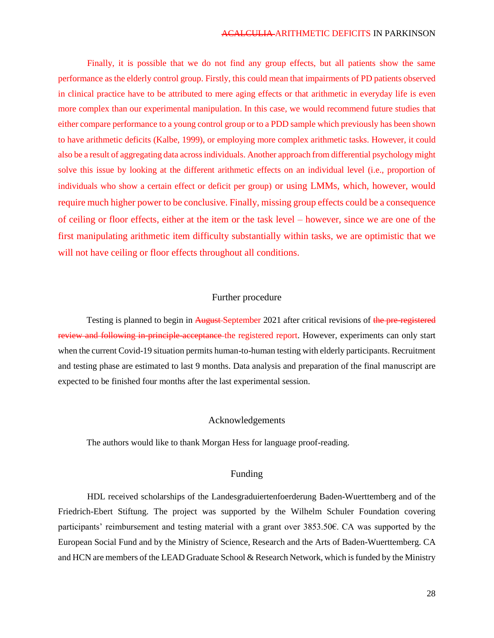Finally, it is possible that we do not find any group effects, but all patients show the same performance as the elderly control group. Firstly, this could mean that impairments of PD patients observed in clinical practice have to be attributed to mere aging effects or that arithmetic in everyday life is even more complex than our experimental manipulation. In this case, we would recommend future studies that either compare performance to a young control group or to a PDD sample which previously has been shown to have arithmetic deficits (Kalbe, 1999), or employing more complex arithmetic tasks. However, it could also be a result of aggregating data across individuals. Another approach from differential psychology might solve this issue by looking at the different arithmetic effects on an individual level (i.e., proportion of individuals who show a certain effect or deficit per group) or using LMMs, which, however, would require much higher power to be conclusive. Finally, missing group effects could be a consequence of ceiling or floor effects, either at the item or the task level – however, since we are one of the first manipulating arithmetic item difficulty substantially within tasks, we are optimistic that we will not have ceiling or floor effects throughout all conditions.

# Further procedure

Testing is planned to begin in August-September 2021 after critical revisions of the pre-registered review and following in-principle-acceptance the registered report. However, experiments can only start when the current Covid-19 situation permits human-to-human testing with elderly participants. Recruitment and testing phase are estimated to last 9 months. Data analysis and preparation of the final manuscript are expected to be finished four months after the last experimental session.

# Acknowledgements

The authors would like to thank Morgan Hess for language proof-reading.

# Funding

HDL received scholarships of the Landesgraduiertenfoerderung Baden-Wuerttemberg and of the Friedrich-Ebert Stiftung. The project was supported by the Wilhelm Schuler Foundation covering participants' reimbursement and testing material with a grant over 3853.50€. CA was supported by the European Social Fund and by the Ministry of Science, Research and the Arts of Baden-Wuerttemberg. CA and HCN are members of the LEAD Graduate School & Research Network, which is funded by the Ministry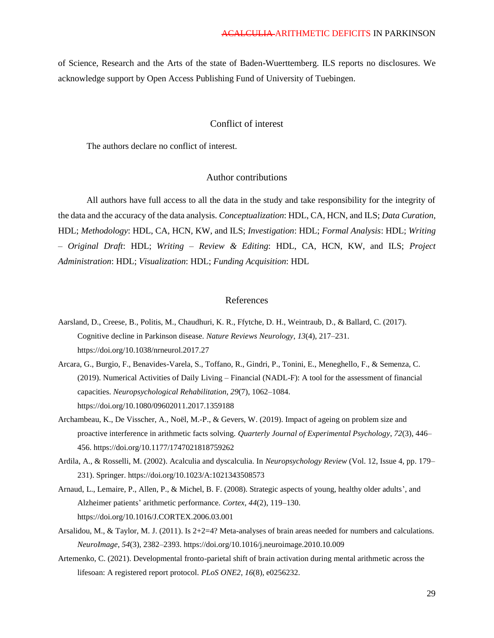of Science, Research and the Arts of the state of Baden-Wuerttemberg. ILS reports no disclosures. We acknowledge support by Open Access Publishing Fund of University of Tuebingen.

# Conflict of interest

The authors declare no conflict of interest.

# Author contributions

All authors have full access to all the data in the study and take responsibility for the integrity of the data and the accuracy of the data analysis. *Conceptualization*: HDL, CA, HCN, and ILS; *Data Curation*, HDL; *Methodology*: HDL, CA, HCN, KW, and ILS; *Investigation*: HDL; *Formal Analysis*: HDL; *Writing – Original Draft*: HDL; *Writing – Review & Editing*: HDL, CA, HCN, KW, and ILS; *Project Administration*: HDL; *Visualization*: HDL; *Funding Acquisition*: HDL

### References

- Aarsland, D., Creese, B., Politis, M., Chaudhuri, K. R., Ffytche, D. H., Weintraub, D., & Ballard, C. (2017). Cognitive decline in Parkinson disease. *Nature Reviews Neurology*, *13*(4), 217–231. https://doi.org/10.1038/nrneurol.2017.27
- Arcara, G., Burgio, F., Benavides-Varela, S., Toffano, R., Gindri, P., Tonini, E., Meneghello, F., & Semenza, C. (2019). Numerical Activities of Daily Living – Financial (NADL-F): A tool for the assessment of financial capacities. *Neuropsychological Rehabilitation*, *29*(7), 1062–1084. https://doi.org/10.1080/09602011.2017.1359188
- Archambeau, K., De Visscher, A., Noël, M.-P., & Gevers, W. (2019). Impact of ageing on problem size and proactive interference in arithmetic facts solving. *Quarterly Journal of Experimental Psychology*, *72*(3), 446– 456. https://doi.org/10.1177/1747021818759262
- Ardila, A., & Rosselli, M. (2002). Acalculia and dyscalculia. In *Neuropsychology Review* (Vol. 12, Issue 4, pp. 179– 231). Springer. https://doi.org/10.1023/A:1021343508573
- Arnaud, L., Lemaire, P., Allen, P., & Michel, B. F. (2008). Strategic aspects of young, healthy older adults', and Alzheimer patients' arithmetic performance. *Cortex*, *44*(2), 119–130. https://doi.org/10.1016/J.CORTEX.2006.03.001
- Arsalidou, M., & Taylor, M. J. (2011). Is 2+2=4? Meta-analyses of brain areas needed for numbers and calculations. *NeuroImage*, *54*(3), 2382–2393. https://doi.org/10.1016/j.neuroimage.2010.10.009
- Artemenko, C. (2021). Developmental fronto-parietal shift of brain activation during mental arithmetic across the lifesoan: A registered report protocol. *PLoS ONE2*, *16*(8), e0256232.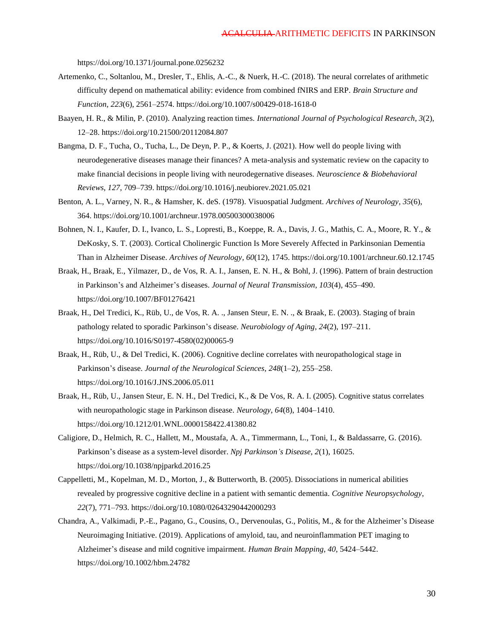https://doi.org/10.1371/journal.pone.0256232

- Artemenko, C., Soltanlou, M., Dresler, T., Ehlis, A.-C., & Nuerk, H.-C. (2018). The neural correlates of arithmetic difficulty depend on mathematical ability: evidence from combined fNIRS and ERP. *Brain Structure and Function*, *223*(6), 2561–2574. https://doi.org/10.1007/s00429-018-1618-0
- Baayen, H. R., & Milin, P. (2010). Analyzing reaction times. *International Journal of Psychological Research*, *3*(2), 12–28. https://doi.org/10.21500/20112084.807
- Bangma, D. F., Tucha, O., Tucha, L., De Deyn, P. P., & Koerts, J. (2021). How well do people living with neurodegenerative diseases manage their finances? A meta-analysis and systematic review on the capacity to make financial decisions in people living with neurodegernative diseases. *Neuroscience & Biobehavioral Reviews*, *127*, 709–739. https://doi.org/10.1016/j.neubiorev.2021.05.021
- Benton, A. L., Varney, N. R., & Hamsher, K. deS. (1978). Visuospatial Judgment. *Archives of Neurology*, *35*(6), 364. https://doi.org/10.1001/archneur.1978.00500300038006
- Bohnen, N. I., Kaufer, D. I., Ivanco, L. S., Lopresti, B., Koeppe, R. A., Davis, J. G., Mathis, C. A., Moore, R. Y., & DeKosky, S. T. (2003). Cortical Cholinergic Function Is More Severely Affected in Parkinsonian Dementia Than in Alzheimer Disease. *Archives of Neurology*, *60*(12), 1745. https://doi.org/10.1001/archneur.60.12.1745
- Braak, H., Braak, E., Yilmazer, D., de Vos, R. A. I., Jansen, E. N. H., & Bohl, J. (1996). Pattern of brain destruction in Parkinson's and Alzheimer's diseases. *Journal of Neural Transmission*, *103*(4), 455–490. https://doi.org/10.1007/BF01276421
- Braak, H., Del Tredici, K., Rüb, U., de Vos, R. A. ., Jansen Steur, E. N. ., & Braak, E. (2003). Staging of brain pathology related to sporadic Parkinson's disease. *Neurobiology of Aging*, *24*(2), 197–211. https://doi.org/10.1016/S0197-4580(02)00065-9
- Braak, H., Rüb, U., & Del Tredici, K. (2006). Cognitive decline correlates with neuropathological stage in Parkinson's disease. *Journal of the Neurological Sciences*, *248*(1–2), 255–258. https://doi.org/10.1016/J.JNS.2006.05.011
- Braak, H., Rüb, U., Jansen Steur, E. N. H., Del Tredici, K., & De Vos, R. A. I. (2005). Cognitive status correlates with neuropathologic stage in Parkinson disease. *Neurology*, *64*(8), 1404–1410. https://doi.org/10.1212/01.WNL.0000158422.41380.82
- Caligiore, D., Helmich, R. C., Hallett, M., Moustafa, A. A., Timmermann, L., Toni, I., & Baldassarre, G. (2016). Parkinson's disease as a system-level disorder. *Npj Parkinson's Disease*, *2*(1), 16025. https://doi.org/10.1038/npjparkd.2016.25
- Cappelletti, M., Kopelman, M. D., Morton, J., & Butterworth, B. (2005). Dissociations in numerical abilities revealed by progressive cognitive decline in a patient with semantic dementia. *Cognitive Neuropsychology*, *22*(7), 771–793. https://doi.org/10.1080/02643290442000293
- Chandra, A., Valkimadi, P.-E., Pagano, G., Cousins, O., Dervenoulas, G., Politis, M., & for the Alzheimer's Disease Neuroimaging Initiative. (2019). Applications of amyloid, tau, and neuroinflammation PET imaging to Alzheimer's disease and mild cognitive impairment. *Human Brain Mapping*, *40*, 5424–5442. https://doi.org/10.1002/hbm.24782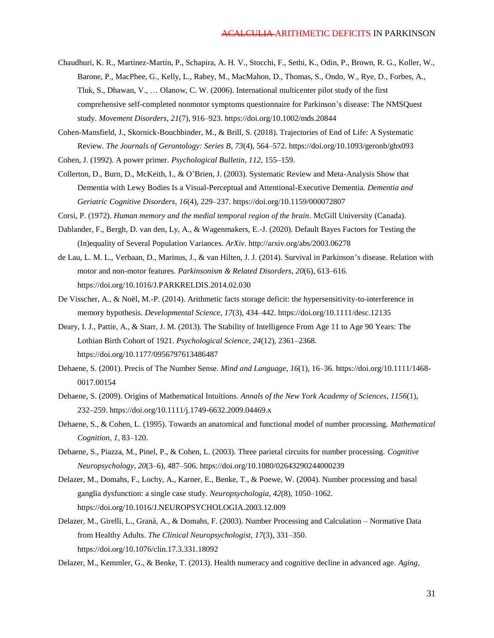- Chaudhuri, K. R., Martinez-Martin, P., Schapira, A. H. V., Stocchi, F., Sethi, K., Odin, P., Brown, R. G., Koller, W., Barone, P., MacPhee, G., Kelly, L., Rabey, M., MacMahon, D., Thomas, S., Ondo, W., Rye, D., Forbes, A., Tluk, S., Dhawan, V., … Olanow, C. W. (2006). International multicenter pilot study of the first comprehensive self-completed nonmotor symptoms questionnaire for Parkinson's disease: The NMSQuest study. *Movement Disorders*, *21*(7), 916–923. https://doi.org/10.1002/mds.20844
- Cohen-Mansfield, J., Skornick-Bouchbinder, M., & Brill, S. (2018). Trajectories of End of Life: A Systematic Review. *The Journals of Gerontology: Series B*, *73*(4), 564–572. https://doi.org/10.1093/geronb/gbx093
- Cohen, J. (1992). A power primer. *Psychological Bulletin*, *112*, 155–159.
- Collerton, D., Burn, D., McKeith, I., & O'Brien, J. (2003). Systematic Review and Meta-Analysis Show that Dementia with Lewy Bodies Is a Visual-Perceptual and Attentional-Executive Dementia. *Dementia and Geriatric Cognitive Disorders*, *16*(4), 229–237. https://doi.org/10.1159/000072807
- Corsi, P. (1972). *Human memory and the medial temporal region of the brain*. McGill University (Canada).
- Dablander, F., Bergh, D. van den, Ly, A., & Wagenmakers, E.-J. (2020). Default Bayes Factors for Testing the (In)equality of Several Population Variances. *ArXiv*. http://arxiv.org/abs/2003.06278
- de Lau, L. M. L., Verbaan, D., Marinus, J., & van Hilten, J. J. (2014). Survival in Parkinson's disease. Relation with motor and non-motor features. *Parkinsonism & Related Disorders*, *20*(6), 613–616. https://doi.org/10.1016/J.PARKRELDIS.2014.02.030
- De Visscher, A., & Noël, M.-P. (2014). Arithmetic facts storage deficit: the hypersensitivity-to-interference in memory hypothesis. *Developmental Science*, *17*(3), 434–442. https://doi.org/10.1111/desc.12135
- Deary, I. J., Pattie, A., & Starr, J. M. (2013). The Stability of Intelligence From Age 11 to Age 90 Years: The Lothian Birth Cohort of 1921. *Psychological Science*, *24*(12), 2361–2368. https://doi.org/10.1177/0956797613486487
- Dehaene, S. (2001). Precis of The Number Sense. *Mind and Language*, *16*(1), 16–36. https://doi.org/10.1111/1468- 0017.00154
- Dehaene, S. (2009). Origins of Mathematical Intuitions. *Annals of the New York Academy of Sciences*, *1156*(1), 232–259. https://doi.org/10.1111/j.1749-6632.2009.04469.x
- Dehaene, S., & Cohen, L. (1995). Towards an anatomical and functional model of number processing. *Mathematical Cognition*, *1*, 83–120.
- Dehaene, S., Piazza, M., Pinel, P., & Cohen, L. (2003). Three parietal circuits for number processing. *Cognitive Neuropsychology*, *20*(3–6), 487–506. https://doi.org/10.1080/02643290244000239
- Delazer, M., Domahs, F., Lochy, A., Karner, E., Benke, T., & Poewe, W. (2004). Number processing and basal ganglia dysfunction: a single case study. *Neuropsychologia*, *42*(8), 1050–1062. https://doi.org/10.1016/J.NEUROPSYCHOLOGIA.2003.12.009
- Delazer, M., Girelli, L., Granà, A., & Domahs, F. (2003). Number Processing and Calculation Normative Data from Healthy Adults. *The Clinical Neuropsychologist*, *17*(3), 331–350. https://doi.org/10.1076/clin.17.3.331.18092
- Delazer, M., Kemmler, G., & Benke, T. (2013). Health numeracy and cognitive decline in advanced age. *Aging,*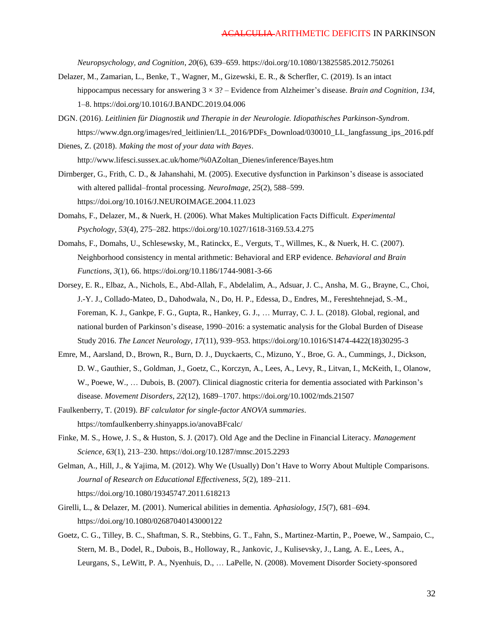*Neuropsychology, and Cognition*, *20*(6), 639–659. https://doi.org/10.1080/13825585.2012.750261

- Delazer, M., Zamarian, L., Benke, T., Wagner, M., Gizewski, E. R., & Scherfler, C. (2019). Is an intact hippocampus necessary for answering 3 × 3? – Evidence from Alzheimer's disease. *Brain and Cognition*, *134*, 1–8. https://doi.org/10.1016/J.BANDC.2019.04.006
- DGN. (2016). *Leitlinien für Diagnostik und Therapie in der Neurologie. Idiopathisches Parkinson-Syndrom*. https://www.dgn.org/images/red\_leitlinien/LL\_2016/PDFs\_Download/030010\_LL\_langfassung\_ips\_2016.pdf
- Dienes, Z. (2018). *Making the most of your data with Bayes*. http://www.lifesci.sussex.ac.uk/home/%0AZoltan\_Dienes/inference/Bayes.htm
- Dirnberger, G., Frith, C. D., & Jahanshahi, M. (2005). Executive dysfunction in Parkinson's disease is associated with altered pallidal–frontal processing. *NeuroImage*, *25*(2), 588–599. https://doi.org/10.1016/J.NEUROIMAGE.2004.11.023
- Domahs, F., Delazer, M., & Nuerk, H. (2006). What Makes Multiplication Facts Difficult. *Experimental Psychology*, *53*(4), 275–282. https://doi.org/10.1027/1618-3169.53.4.275
- Domahs, F., Domahs, U., Schlesewsky, M., Ratinckx, E., Verguts, T., Willmes, K., & Nuerk, H. C. (2007). Neighborhood consistency in mental arithmetic: Behavioral and ERP evidence. *Behavioral and Brain Functions*, *3*(1), 66. https://doi.org/10.1186/1744-9081-3-66
- Dorsey, E. R., Elbaz, A., Nichols, E., Abd-Allah, F., Abdelalim, A., Adsuar, J. C., Ansha, M. G., Brayne, C., Choi, J.-Y. J., Collado-Mateo, D., Dahodwala, N., Do, H. P., Edessa, D., Endres, M., Fereshtehnejad, S.-M., Foreman, K. J., Gankpe, F. G., Gupta, R., Hankey, G. J., … Murray, C. J. L. (2018). Global, regional, and national burden of Parkinson's disease, 1990–2016: a systematic analysis for the Global Burden of Disease Study 2016. *The Lancet Neurology*, *17*(11), 939–953. https://doi.org/10.1016/S1474-4422(18)30295-3
- Emre, M., Aarsland, D., Brown, R., Burn, D. J., Duyckaerts, C., Mizuno, Y., Broe, G. A., Cummings, J., Dickson, D. W., Gauthier, S., Goldman, J., Goetz, C., Korczyn, A., Lees, A., Levy, R., Litvan, I., McKeith, I., Olanow, W., Poewe, W., … Dubois, B. (2007). Clinical diagnostic criteria for dementia associated with Parkinson's disease. *Movement Disorders*, *22*(12), 1689–1707. https://doi.org/10.1002/mds.21507
- Faulkenberry, T. (2019). *BF calculator for single-factor ANOVA summaries*. https://tomfaulkenberry.shinyapps.io/anovaBFcalc/
- Finke, M. S., Howe, J. S., & Huston, S. J. (2017). Old Age and the Decline in Financial Literacy. *Management Science*, *63*(1), 213–230. https://doi.org/10.1287/mnsc.2015.2293
- Gelman, A., Hill, J., & Yajima, M. (2012). Why We (Usually) Don't Have to Worry About Multiple Comparisons. *Journal of Research on Educational Effectiveness*, *5*(2), 189–211. https://doi.org/10.1080/19345747.2011.618213
- Girelli, L., & Delazer, M. (2001). Numerical abilities in dementia. *Aphasiology*, *15*(7), 681–694. https://doi.org/10.1080/02687040143000122
- Goetz, C. G., Tilley, B. C., Shaftman, S. R., Stebbins, G. T., Fahn, S., Martinez-Martin, P., Poewe, W., Sampaio, C., Stern, M. B., Dodel, R., Dubois, B., Holloway, R., Jankovic, J., Kulisevsky, J., Lang, A. E., Lees, A., Leurgans, S., LeWitt, P. A., Nyenhuis, D., … LaPelle, N. (2008). Movement Disorder Society-sponsored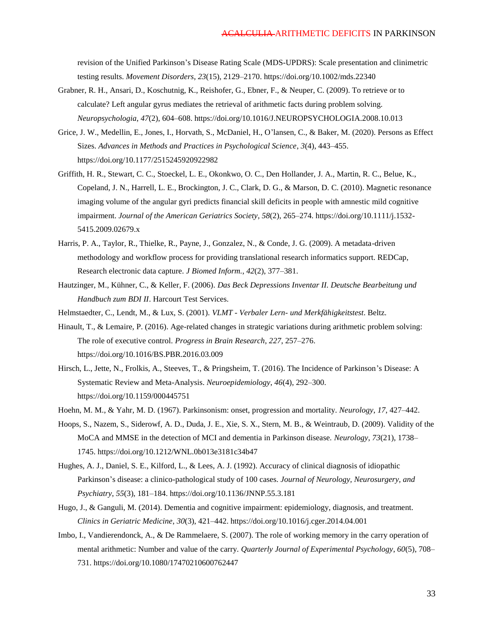revision of the Unified Parkinson's Disease Rating Scale (MDS-UPDRS): Scale presentation and clinimetric testing results. *Movement Disorders*, *23*(15), 2129–2170. https://doi.org/10.1002/mds.22340

- Grabner, R. H., Ansari, D., Koschutnig, K., Reishofer, G., Ebner, F., & Neuper, C. (2009). To retrieve or to calculate? Left angular gyrus mediates the retrieval of arithmetic facts during problem solving. *Neuropsychologia*, *47*(2), 604–608. https://doi.org/10.1016/J.NEUROPSYCHOLOGIA.2008.10.013
- Grice, J. W., Medellin, E., Jones, I., Horvath, S., McDaniel, H., O'lansen, C., & Baker, M. (2020). Persons as Effect Sizes. *Advances in Methods and Practices in Psychological Science*, *3*(4), 443–455. https://doi.org/10.1177/2515245920922982
- Griffith, H. R., Stewart, C. C., Stoeckel, L. E., Okonkwo, O. C., Den Hollander, J. A., Martin, R. C., Belue, K., Copeland, J. N., Harrell, L. E., Brockington, J. C., Clark, D. G., & Marson, D. C. (2010). Magnetic resonance imaging volume of the angular gyri predicts financial skill deficits in people with amnestic mild cognitive impairment. *Journal of the American Geriatrics Society*, *58*(2), 265–274. https://doi.org/10.1111/j.1532- 5415.2009.02679.x
- Harris, P. A., Taylor, R., Thielke, R., Payne, J., Gonzalez, N., & Conde, J. G. (2009). A metadata-driven methodology and workflow process for providing translational research informatics support. REDCap, Research electronic data capture. *J Biomed Inform.*, *42*(2), 377–381.
- Hautzinger, M., Kühner, C., & Keller, F. (2006). *Das Beck Depressions Inventar II. Deutsche Bearbeitung und Handbuch zum BDI II*. Harcourt Test Services.
- Helmstaedter, C., Lendt, M., & Lux, S. (2001). *VLMT - Verbaler Lern- und Merkfähigkeitstest*. Beltz.
- Hinault, T., & Lemaire, P. (2016). Age-related changes in strategic variations during arithmetic problem solving: The role of executive control. *Progress in Brain Research*, *227*, 257–276. https://doi.org/10.1016/BS.PBR.2016.03.009
- Hirsch, L., Jette, N., Frolkis, A., Steeves, T., & Pringsheim, T. (2016). The Incidence of Parkinson's Disease: A Systematic Review and Meta-Analysis. *Neuroepidemiology*, *46*(4), 292–300. https://doi.org/10.1159/000445751
- Hoehn, M. M., & Yahr, M. D. (1967). Parkinsonism: onset, progression and mortality. *Neurology*, *17*, 427–442.
- Hoops, S., Nazem, S., Siderowf, A. D., Duda, J. E., Xie, S. X., Stern, M. B., & Weintraub, D. (2009). Validity of the MoCA and MMSE in the detection of MCI and dementia in Parkinson disease. *Neurology*, *73*(21), 1738– 1745. https://doi.org/10.1212/WNL.0b013e3181c34b47
- Hughes, A. J., Daniel, S. E., Kilford, L., & Lees, A. J. (1992). Accuracy of clinical diagnosis of idiopathic Parkinson's disease: a clinico-pathological study of 100 cases. *Journal of Neurology, Neurosurgery, and Psychiatry*, *55*(3), 181–184. https://doi.org/10.1136/JNNP.55.3.181
- Hugo, J., & Ganguli, M. (2014). Dementia and cognitive impairment: epidemiology, diagnosis, and treatment. *Clinics in Geriatric Medicine*, *30*(3), 421–442. https://doi.org/10.1016/j.cger.2014.04.001
- Imbo, I., Vandierendonck, A., & De Rammelaere, S. (2007). The role of working memory in the carry operation of mental arithmetic: Number and value of the carry. *Quarterly Journal of Experimental Psychology*, *60*(5), 708– 731. https://doi.org/10.1080/17470210600762447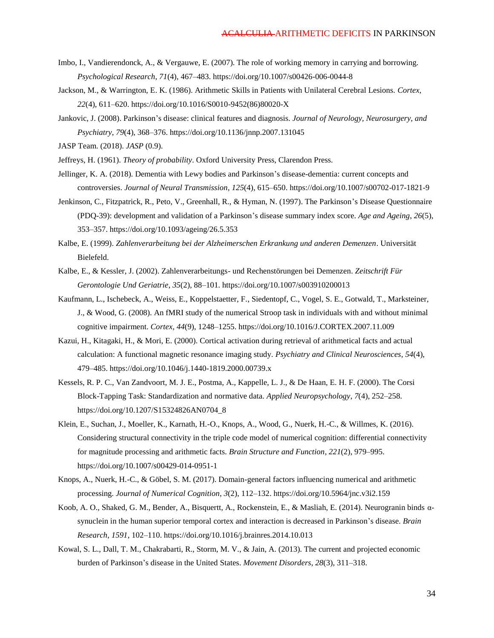- Imbo, I., Vandierendonck, A., & Vergauwe, E. (2007). The role of working memory in carrying and borrowing. *Psychological Research*, *71*(4), 467–483. https://doi.org/10.1007/s00426-006-0044-8
- Jackson, M., & Warrington, E. K. (1986). Arithmetic Skills in Patients with Unilateral Cerebral Lesions. *Cortex*, *22*(4), 611–620. https://doi.org/10.1016/S0010-9452(86)80020-X
- Jankovic, J. (2008). Parkinson's disease: clinical features and diagnosis. *Journal of Neurology, Neurosurgery, and Psychiatry*, *79*(4), 368–376. https://doi.org/10.1136/jnnp.2007.131045
- JASP Team. (2018). *JASP* (0.9).
- Jeffreys, H. (1961). *Theory of probability*. Oxford University Press, Clarendon Press.
- Jellinger, K. A. (2018). Dementia with Lewy bodies and Parkinson's disease-dementia: current concepts and controversies. *Journal of Neural Transmission*, *125*(4), 615–650. https://doi.org/10.1007/s00702-017-1821-9
- Jenkinson, C., Fitzpatrick, R., Peto, V., Greenhall, R., & Hyman, N. (1997). The Parkinson's Disease Questionnaire (PDQ-39): development and validation of a Parkinson's disease summary index score. *Age and Ageing*, *26*(5), 353–357. https://doi.org/10.1093/ageing/26.5.353
- Kalbe, E. (1999). *Zahlenverarbeitung bei der Alzheimerschen Erkrankung und anderen Demenzen*. Universität Bielefeld.
- Kalbe, E., & Kessler, J. (2002). Zahlenverarbeitungs- und Rechenstörungen bei Demenzen. *Zeitschrift Für Gerontologie Und Geriatrie*, *35*(2), 88–101. https://doi.org/10.1007/s003910200013
- Kaufmann, L., Ischebeck, A., Weiss, E., Koppelstaetter, F., Siedentopf, C., Vogel, S. E., Gotwald, T., Marksteiner, J., & Wood, G. (2008). An fMRI study of the numerical Stroop task in individuals with and without minimal cognitive impairment. *Cortex*, *44*(9), 1248–1255. https://doi.org/10.1016/J.CORTEX.2007.11.009
- Kazui, H., Kitagaki, H., & Mori, E. (2000). Cortical activation during retrieval of arithmetical facts and actual calculation: A functional magnetic resonance imaging study. *Psychiatry and Clinical Neurosciences*, *54*(4), 479–485. https://doi.org/10.1046/j.1440-1819.2000.00739.x
- Kessels, R. P. C., Van Zandvoort, M. J. E., Postma, A., Kappelle, L. J., & De Haan, E. H. F. (2000). The Corsi Block-Tapping Task: Standardization and normative data. *Applied Neuropsychology*, *7*(4), 252–258. https://doi.org/10.1207/S15324826AN0704\_8
- Klein, E., Suchan, J., Moeller, K., Karnath, H.-O., Knops, A., Wood, G., Nuerk, H.-C., & Willmes, K. (2016). Considering structural connectivity in the triple code model of numerical cognition: differential connectivity for magnitude processing and arithmetic facts. *Brain Structure and Function*, *221*(2), 979–995. https://doi.org/10.1007/s00429-014-0951-1
- Knops, A., Nuerk, H.-C., & Göbel, S. M. (2017). Domain-general factors influencing numerical and arithmetic processing. *Journal of Numerical Cognition*, *3*(2), 112–132. https://doi.org/10.5964/jnc.v3i2.159
- Koob, A. O., Shaked, G. M., Bender, A., Bisquertt, A., Rockenstein, E., & Masliah, E. (2014). Neurogranin binds αsynuclein in the human superior temporal cortex and interaction is decreased in Parkinson's disease. *Brain Research*, *1591*, 102–110. https://doi.org/10.1016/j.brainres.2014.10.013
- Kowal, S. L., Dall, T. M., Chakrabarti, R., Storm, M. V., & Jain, A. (2013). The current and projected economic burden of Parkinson's disease in the United States. *Movement Disorders*, *28*(3), 311–318.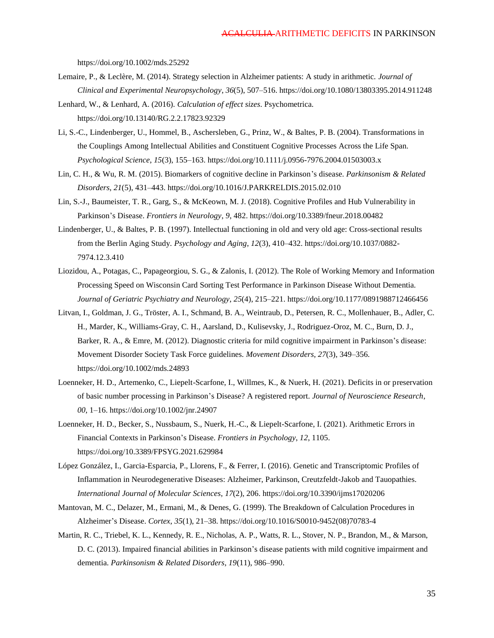https://doi.org/10.1002/mds.25292

- Lemaire, P., & Leclère, M. (2014). Strategy selection in Alzheimer patients: A study in arithmetic. *Journal of Clinical and Experimental Neuropsychology*, *36*(5), 507–516. https://doi.org/10.1080/13803395.2014.911248
- Lenhard, W., & Lenhard, A. (2016). *Calculation of effect sizes*. Psychometrica. https://doi.org/10.13140/RG.2.2.17823.92329
- Li, S.-C., Lindenberger, U., Hommel, B., Aschersleben, G., Prinz, W., & Baltes, P. B. (2004). Transformations in the Couplings Among Intellectual Abilities and Constituent Cognitive Processes Across the Life Span. *Psychological Science*, *15*(3), 155–163. https://doi.org/10.1111/j.0956-7976.2004.01503003.x
- Lin, C. H., & Wu, R. M. (2015). Biomarkers of cognitive decline in Parkinson's disease. *Parkinsonism & Related Disorders*, *21*(5), 431–443. https://doi.org/10.1016/J.PARKRELDIS.2015.02.010
- Lin, S.-J., Baumeister, T. R., Garg, S., & McKeown, M. J. (2018). Cognitive Profiles and Hub Vulnerability in Parkinson's Disease. *Frontiers in Neurology*, *9*, 482. https://doi.org/10.3389/fneur.2018.00482
- Lindenberger, U., & Baltes, P. B. (1997). Intellectual functioning in old and very old age: Cross-sectional results from the Berlin Aging Study. *Psychology and Aging*, *12*(3), 410–432. https://doi.org/10.1037/0882- 7974.12.3.410
- Liozidou, A., Potagas, C., Papageorgiou, S. G., & Zalonis, I. (2012). The Role of Working Memory and Information Processing Speed on Wisconsin Card Sorting Test Performance in Parkinson Disease Without Dementia. *Journal of Geriatric Psychiatry and Neurology*, *25*(4), 215–221. https://doi.org/10.1177/0891988712466456
- Litvan, I., Goldman, J. G., Tröster, A. I., Schmand, B. A., Weintraub, D., Petersen, R. C., Mollenhauer, B., Adler, C. H., Marder, K., Williams-Gray, C. H., Aarsland, D., Kulisevsky, J., Rodriguez-Oroz, M. C., Burn, D. J., Barker, R. A., & Emre, M. (2012). Diagnostic criteria for mild cognitive impairment in Parkinson's disease: Movement Disorder Society Task Force guidelines. *Movement Disorders*, *27*(3), 349–356. https://doi.org/10.1002/mds.24893
- Loenneker, H. D., Artemenko, C., Liepelt-Scarfone, I., Willmes, K., & Nuerk, H. (2021). Deficits in or preservation of basic number processing in Parkinson's Disease? A registered report. *Journal of Neuroscience Research*, *00*, 1–16. https://doi.org/10.1002/jnr.24907
- Loenneker, H. D., Becker, S., Nussbaum, S., Nuerk, H.-C., & Liepelt-Scarfone, I. (2021). Arithmetic Errors in Financial Contexts in Parkinson's Disease. *Frontiers in Psychology*, *12*, 1105. https://doi.org/10.3389/FPSYG.2021.629984
- López González, I., Garcia-Esparcia, P., Llorens, F., & Ferrer, I. (2016). Genetic and Transcriptomic Profiles of Inflammation in Neurodegenerative Diseases: Alzheimer, Parkinson, Creutzfeldt-Jakob and Tauopathies. *International Journal of Molecular Sciences*, *17*(2), 206. https://doi.org/10.3390/ijms17020206
- Mantovan, M. C., Delazer, M., Ermani, M., & Denes, G. (1999). The Breakdown of Calculation Procedures in Alzheimer's Disease. *Cortex*, *35*(1), 21–38. https://doi.org/10.1016/S0010-9452(08)70783-4
- Martin, R. C., Triebel, K. L., Kennedy, R. E., Nicholas, A. P., Watts, R. L., Stover, N. P., Brandon, M., & Marson, D. C. (2013). Impaired financial abilities in Parkinson's disease patients with mild cognitive impairment and dementia. *Parkinsonism & Related Disorders*, *19*(11), 986–990.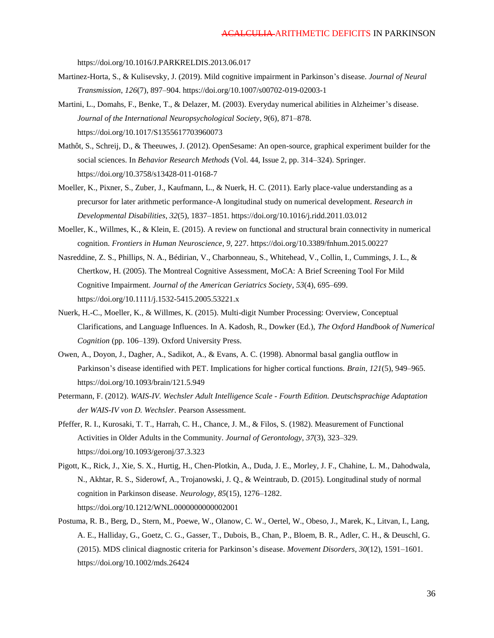https://doi.org/10.1016/J.PARKRELDIS.2013.06.017

- Martinez-Horta, S., & Kulisevsky, J. (2019). Mild cognitive impairment in Parkinson's disease. *Journal of Neural Transmission*, *126*(7), 897–904. https://doi.org/10.1007/s00702-019-02003-1
- Martini, L., Domahs, F., Benke, T., & Delazer, M. (2003). Everyday numerical abilities in Alzheimer's disease. *Journal of the International Neuropsychological Society*, *9*(6), 871–878. https://doi.org/10.1017/S1355617703960073
- Mathôt, S., Schreij, D., & Theeuwes, J. (2012). OpenSesame: An open-source, graphical experiment builder for the social sciences. In *Behavior Research Methods* (Vol. 44, Issue 2, pp. 314–324). Springer. https://doi.org/10.3758/s13428-011-0168-7
- Moeller, K., Pixner, S., Zuber, J., Kaufmann, L., & Nuerk, H. C. (2011). Early place-value understanding as a precursor for later arithmetic performance-A longitudinal study on numerical development. *Research in Developmental Disabilities*, *32*(5), 1837–1851. https://doi.org/10.1016/j.ridd.2011.03.012
- Moeller, K., Willmes, K., & Klein, E. (2015). A review on functional and structural brain connectivity in numerical cognition. *Frontiers in Human Neuroscience*, *9*, 227. https://doi.org/10.3389/fnhum.2015.00227
- Nasreddine, Z. S., Phillips, N. A., Bédirian, V., Charbonneau, S., Whitehead, V., Collin, I., Cummings, J. L., & Chertkow, H. (2005). The Montreal Cognitive Assessment, MoCA: A Brief Screening Tool For Mild Cognitive Impairment. *Journal of the American Geriatrics Society*, *53*(4), 695–699. https://doi.org/10.1111/j.1532-5415.2005.53221.x
- Nuerk, H.-C., Moeller, K., & Willmes, K. (2015). Multi-digit Number Processing: Overview, Conceptual Clarifications, and Language Influences. In A. Kadosh, R., Dowker (Ed.), *The Oxford Handbook of Numerical Cognition* (pp. 106–139). Oxford University Press.
- Owen, A., Doyon, J., Dagher, A., Sadikot, A., & Evans, A. C. (1998). Abnormal basal ganglia outflow in Parkinson's disease identified with PET. Implications for higher cortical functions. *Brain*, *121*(5), 949–965. https://doi.org/10.1093/brain/121.5.949
- Petermann, F. (2012). *WAIS-IV. Wechsler Adult Intelligence Scale - Fourth Edition. Deutschsprachige Adaptation der WAIS-IV von D. Wechsler*. Pearson Assessment.
- Pfeffer, R. I., Kurosaki, T. T., Harrah, C. H., Chance, J. M., & Filos, S. (1982). Measurement of Functional Activities in Older Adults in the Community. *Journal of Gerontology*, *37*(3), 323–329. https://doi.org/10.1093/geronj/37.3.323
- Pigott, K., Rick, J., Xie, S. X., Hurtig, H., Chen-Plotkin, A., Duda, J. E., Morley, J. F., Chahine, L. M., Dahodwala, N., Akhtar, R. S., Siderowf, A., Trojanowski, J. Q., & Weintraub, D. (2015). Longitudinal study of normal cognition in Parkinson disease. *Neurology*, *85*(15), 1276–1282. https://doi.org/10.1212/WNL.0000000000002001
- Postuma, R. B., Berg, D., Stern, M., Poewe, W., Olanow, C. W., Oertel, W., Obeso, J., Marek, K., Litvan, I., Lang, A. E., Halliday, G., Goetz, C. G., Gasser, T., Dubois, B., Chan, P., Bloem, B. R., Adler, C. H., & Deuschl, G. (2015). MDS clinical diagnostic criteria for Parkinson's disease. *Movement Disorders*, *30*(12), 1591–1601. https://doi.org/10.1002/mds.26424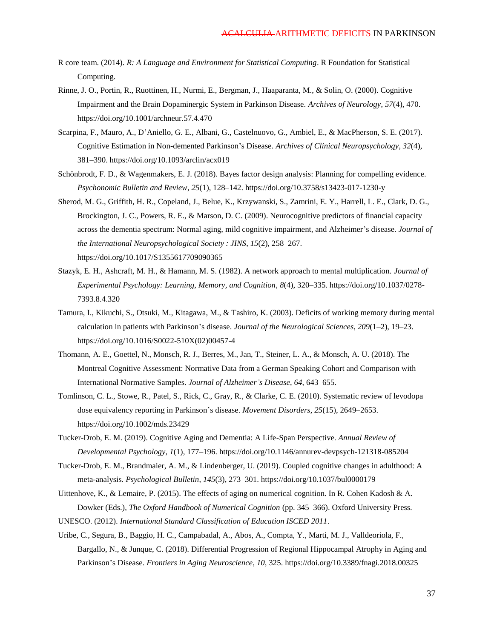- R core team. (2014). *R: A Language and Environment for Statistical Computing*. R Foundation for Statistical Computing.
- Rinne, J. O., Portin, R., Ruottinen, H., Nurmi, E., Bergman, J., Haaparanta, M., & Solin, O. (2000). Cognitive Impairment and the Brain Dopaminergic System in Parkinson Disease. *Archives of Neurology*, *57*(4), 470. https://doi.org/10.1001/archneur.57.4.470
- Scarpina, F., Mauro, A., D'Aniello, G. E., Albani, G., Castelnuovo, G., Ambiel, E., & MacPherson, S. E. (2017). Cognitive Estimation in Non-demented Parkinson's Disease. *Archives of Clinical Neuropsychology*, *32*(4), 381–390. https://doi.org/10.1093/arclin/acx019
- Schönbrodt, F. D., & Wagenmakers, E. J. (2018). Bayes factor design analysis: Planning for compelling evidence. *Psychonomic Bulletin and Review*, *25*(1), 128–142. https://doi.org/10.3758/s13423-017-1230-y
- Sherod, M. G., Griffith, H. R., Copeland, J., Belue, K., Krzywanski, S., Zamrini, E. Y., Harrell, L. E., Clark, D. G., Brockington, J. C., Powers, R. E., & Marson, D. C. (2009). Neurocognitive predictors of financial capacity across the dementia spectrum: Normal aging, mild cognitive impairment, and Alzheimer's disease. *Journal of the International Neuropsychological Society : JINS*, *15*(2), 258–267. https://doi.org/10.1017/S1355617709090365
- Stazyk, E. H., Ashcraft, M. H., & Hamann, M. S. (1982). A network approach to mental multiplication. *Journal of Experimental Psychology: Learning, Memory, and Cognition*, *8*(4), 320–335. https://doi.org/10.1037/0278- 7393.8.4.320
- Tamura, I., Kikuchi, S., Otsuki, M., Kitagawa, M., & Tashiro, K. (2003). Deficits of working memory during mental calculation in patients with Parkinson's disease. *Journal of the Neurological Sciences*, *209*(1–2), 19–23. https://doi.org/10.1016/S0022-510X(02)00457-4
- Thomann, A. E., Goettel, N., Monsch, R. J., Berres, M., Jan, T., Steiner, L. A., & Monsch, A. U. (2018). The Montreal Cognitive Assessment: Normative Data from a German Speaking Cohort and Comparison with International Normative Samples. *Journal of Alzheimer's Disease*, *64*, 643–655.
- Tomlinson, C. L., Stowe, R., Patel, S., Rick, C., Gray, R., & Clarke, C. E. (2010). Systematic review of levodopa dose equivalency reporting in Parkinson's disease. *Movement Disorders*, *25*(15), 2649–2653. https://doi.org/10.1002/mds.23429
- Tucker-Drob, E. M. (2019). Cognitive Aging and Dementia: A Life-Span Perspective. *Annual Review of Developmental Psychology*, *1*(1), 177–196. https://doi.org/10.1146/annurev-devpsych-121318-085204
- Tucker-Drob, E. M., Brandmaier, A. M., & Lindenberger, U. (2019). Coupled cognitive changes in adulthood: A meta-analysis. *Psychological Bulletin*, *145*(3), 273–301. https://doi.org/10.1037/bul0000179
- Uittenhove, K., & Lemaire, P. (2015). The effects of aging on numerical cognition. In R. Cohen Kadosh & A. Dowker (Eds.), *The Oxford Handbook of Numerical Cognition* (pp. 345–366). Oxford University Press.
- UNESCO. (2012). *International Standard Classification of Education ISCED 2011*.
- Uribe, C., Segura, B., Baggio, H. C., Campabadal, A., Abos, A., Compta, Y., Marti, M. J., Valldeoriola, F., Bargallo, N., & Junque, C. (2018). Differential Progression of Regional Hippocampal Atrophy in Aging and Parkinson's Disease. *Frontiers in Aging Neuroscience*, *10*, 325. https://doi.org/10.3389/fnagi.2018.00325